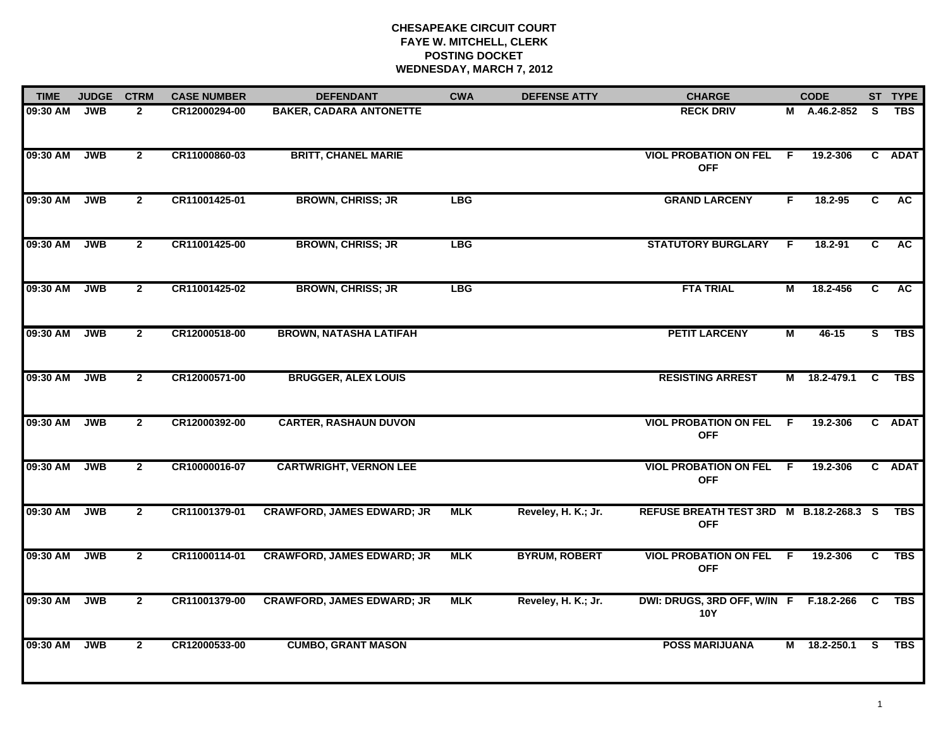| <b>TIME</b> | <b>JUDGE</b> | <b>CTRM</b>    | <b>CASE NUMBER</b> | <b>DEFENDANT</b>                  | <b>CWA</b> | <b>DEFENSE ATTY</b>  | <b>CHARGE</b>                                              |    | <b>CODE</b>    |          | ST TYPE    |
|-------------|--------------|----------------|--------------------|-----------------------------------|------------|----------------------|------------------------------------------------------------|----|----------------|----------|------------|
| 09:30 AM    | <b>JWB</b>   | $\mathbf{2}$   | CR12000294-00      | <b>BAKER, CADARA ANTONETTE</b>    |            |                      | <b>RECK DRIV</b>                                           | М  | A.46.2-852     | S.       | <b>TBS</b> |
| 09:30 AM    | <b>JWB</b>   | $\overline{2}$ | CR11000860-03      | <b>BRITT, CHANEL MARIE</b>        |            |                      | <b>VIOL PROBATION ON FEL</b><br><b>OFF</b>                 | F  | 19.2-306       |          | C ADAT     |
| 09:30 AM    | <b>JWB</b>   | $\overline{2}$ | CR11001425-01      | <b>BROWN, CHRISS; JR</b>          | <b>LBG</b> |                      | <b>GRAND LARCENY</b>                                       | F. | 18.2-95        | C        | <b>AC</b>  |
| 09:30 AM    | <b>JWB</b>   | $\overline{2}$ | CR11001425-00      | <b>BROWN, CHRISS; JR</b>          | <b>LBG</b> |                      | <b>STATUTORY BURGLARY</b>                                  | F. | 18.2-91        | C        | AC         |
| 09:30 AM    | <b>JWB</b>   | $\overline{2}$ | CR11001425-02      | <b>BROWN, CHRISS; JR</b>          | <b>LBG</b> |                      | <b>FTA TRIAL</b>                                           | М  | 18.2-456       | C        | AC.        |
| 09:30 AM    | <b>JWB</b>   | $\overline{2}$ | CR12000518-00      | <b>BROWN, NATASHA LATIFAH</b>     |            |                      | <b>PETIT LARCENY</b>                                       | М  | $46 - 15$      | S.       | <b>TBS</b> |
| 09:30 AM    | <b>JWB</b>   | $\overline{2}$ | CR12000571-00      | <b>BRUGGER, ALEX LOUIS</b>        |            |                      | <b>RESISTING ARREST</b>                                    |    | M 18.2-479.1 C |          | <b>TBS</b> |
| 09:30 AM    | <b>JWB</b>   | $\mathbf{2}$   | CR12000392-00      | <b>CARTER, RASHAUN DUVON</b>      |            |                      | <b>VIOL PROBATION ON FEL F</b><br><b>OFF</b>               |    | 19.2-306       |          | C ADAT     |
| 09:30 AM    | <b>JWB</b>   | $\overline{2}$ | CR10000016-07      | <b>CARTWRIGHT, VERNON LEE</b>     |            |                      | <b>VIOL PROBATION ON FEL F</b><br><b>OFF</b>               |    | 19.2-306       |          | C ADAT     |
| 09:30 AM    | <b>JWB</b>   | $\overline{2}$ | CR11001379-01      | <b>CRAWFORD, JAMES EDWARD; JR</b> | <b>MLK</b> | Reveley, H. K.; Jr.  | REFUSE BREATH TEST 3RD M B.18.2-268.3 S<br><b>OFF</b>      |    |                |          | <b>TBS</b> |
| 09:30 AM    | <b>JWB</b>   | $\overline{2}$ | CR11000114-01      | <b>CRAWFORD, JAMES EDWARD; JR</b> | <b>MLK</b> | <b>BYRUM, ROBERT</b> | <b>VIOL PROBATION ON FEL F</b><br><b>OFF</b>               |    | 19.2-306       | C        | <b>TBS</b> |
| 09:30 AM    | <b>JWB</b>   | $\overline{2}$ | CR11001379-00      | <b>CRAWFORD, JAMES EDWARD; JR</b> | <b>MLK</b> | Reveley, H. K.; Jr.  | DWI: DRUGS, 3RD OFF, W/IN F F.18.2-266 C TBS<br><b>10Y</b> |    |                |          |            |
| 09:30 AM    | <b>JWB</b>   | $\mathbf{2}$   | CR12000533-00      | <b>CUMBO, GRANT MASON</b>         |            |                      | <b>POSS MARIJUANA</b>                                      |    | M 18.2-250.1   | <b>S</b> | TBS        |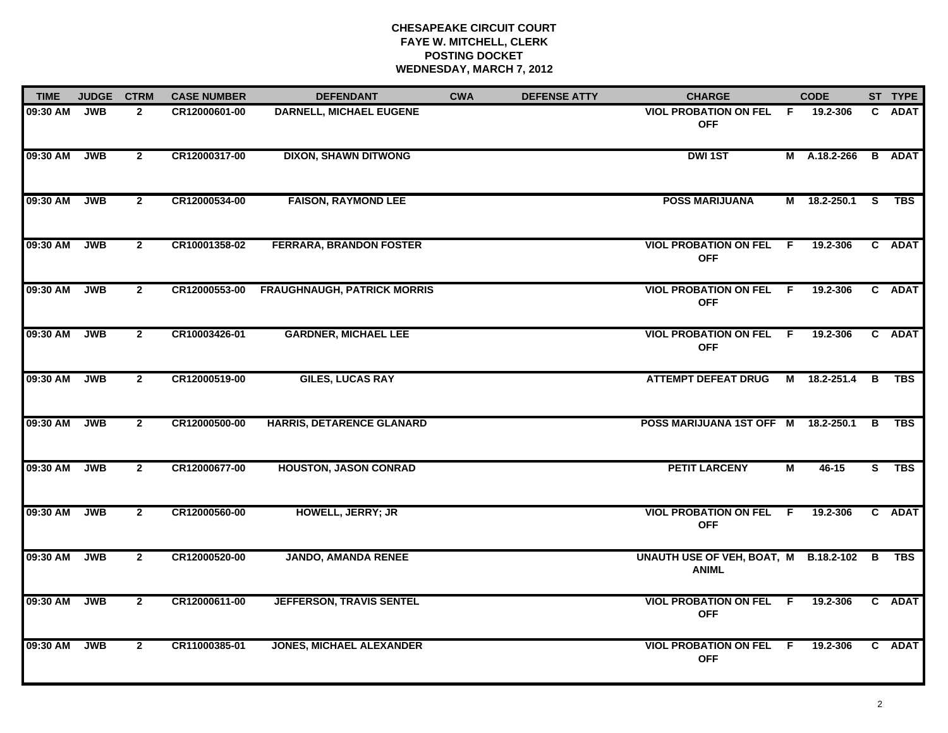| <b>TIME</b> | <b>JUDGE</b> | <b>CTRM</b>    | <b>CASE NUMBER</b> | <b>DEFENDANT</b>                   | <b>CWA</b> | <b>DEFENSE ATTY</b> | <b>CHARGE</b>                                           |                | <b>CODE</b>  |    | ST TYPE       |
|-------------|--------------|----------------|--------------------|------------------------------------|------------|---------------------|---------------------------------------------------------|----------------|--------------|----|---------------|
| 09:30 AM    | <b>JWB</b>   | $\overline{2}$ | CR12000601-00      | <b>DARNELL, MICHAEL EUGENE</b>     |            |                     | VIOL PROBATION ON FEL F<br><b>OFF</b>                   |                | 19.2-306     |    | C ADAT        |
| 09:30 AM    | JWB          | $\mathbf{2}$   | CR12000317-00      | <b>DIXON, SHAWN DITWONG</b>        |            |                     | <b>DWI1ST</b>                                           |                | M A.18.2-266 |    | <b>B</b> ADAT |
| 09:30 AM    | <b>JWB</b>   | $\overline{2}$ | CR12000534-00      | <b>FAISON, RAYMOND LEE</b>         |            |                     | <b>POSS MARIJUANA</b>                                   |                | M 18.2-250.1 | S. | TBS           |
| 09:30 AM    | <b>JWB</b>   | $\mathbf{2}$   | CR10001358-02      | <b>FERRARA, BRANDON FOSTER</b>     |            |                     | <b>VIOL PROBATION ON FEL F</b><br><b>OFF</b>            |                | 19.2-306     |    | C ADAT        |
| 09:30 AM    | <b>JWB</b>   | $2^{\circ}$    | CR12000553-00      | <b>FRAUGHNAUGH, PATRICK MORRIS</b> |            |                     | <b>VIOL PROBATION ON FEL F</b><br><b>OFF</b>            |                | 19.2-306     |    | C ADAT        |
| 09:30 AM    | <b>JWB</b>   | $\overline{2}$ | CR10003426-01      | <b>GARDNER, MICHAEL LEE</b>        |            |                     | <b>VIOL PROBATION ON FEL F</b><br><b>OFF</b>            |                | 19.2-306     |    | C ADAT        |
| 09:30 AM    | <b>JWB</b>   | $\overline{2}$ | CR12000519-00      | <b>GILES, LUCAS RAY</b>            |            |                     | <b>ATTEMPT DEFEAT DRUG</b>                              |                | M 18.2-251.4 | B  | TBS           |
| 09:30 AM    | <b>JWB</b>   | $\mathbf{2}$   | CR12000500-00      | <b>HARRIS, DETARENCE GLANARD</b>   |            |                     | POSS MARIJUANA 1ST OFF M 18.2-250.1                     |                |              | B  | TBS           |
| 09:30 AM    | <b>JWB</b>   | $\overline{2}$ | CR12000677-00      | <b>HOUSTON, JASON CONRAD</b>       |            |                     | <b>PETIT LARCENY</b>                                    | $\blacksquare$ | 46-15        | S. | <b>TBS</b>    |
| 09:30 AM    | <b>JWB</b>   | $\overline{2}$ | CR12000560-00      | HOWELL, JERRY; JR                  |            |                     | <b>VIOL PROBATION ON FEL F</b><br><b>OFF</b>            |                | 19.2-306     |    | C ADAT        |
| 09:30 AM    | <b>JWB</b>   | $\mathbf{2}$   | CR12000520-00      | <b>JANDO, AMANDA RENEE</b>         |            |                     | UNAUTH USE OF VEH, BOAT, M B.18.2-102 B<br><b>ANIML</b> |                |              |    | TBS           |
| 09:30 AM    | <b>JWB</b>   | $\overline{2}$ | CR12000611-00      | <b>JEFFERSON, TRAVIS SENTEL</b>    |            |                     | <b>VIOL PROBATION ON FEL F</b><br><b>OFF</b>            |                | 19.2-306     |    | C ADAT        |
| 09:30 AM    | <b>JWB</b>   | $\overline{2}$ | CR11000385-01      | <b>JONES, MICHAEL ALEXANDER</b>    |            |                     | <b>VIOL PROBATION ON FEL F</b><br><b>OFF</b>            |                | 19.2-306     |    | C ADAT        |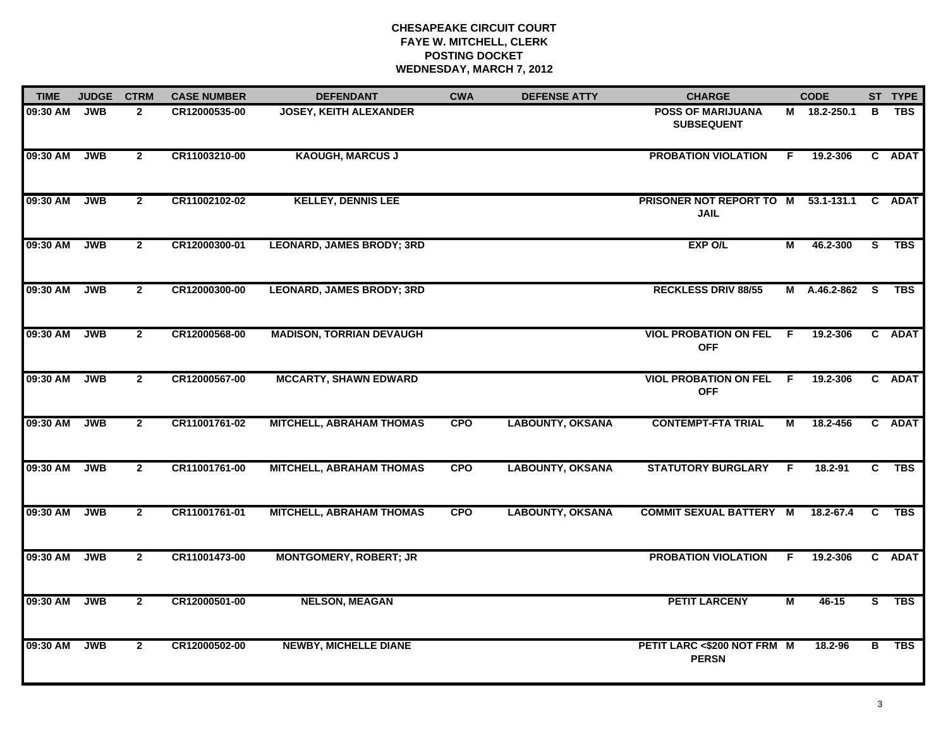| <b>TIME</b> | <b>JUDGE</b> | <b>CTRM</b>    | <b>CASE NUMBER</b> | <b>DEFENDANT</b>                 | <b>CWA</b> | <b>DEFENSE ATTY</b>     | <b>CHARGE</b>                                      |                | <b>CODE</b>  |              | ST TYPE     |
|-------------|--------------|----------------|--------------------|----------------------------------|------------|-------------------------|----------------------------------------------------|----------------|--------------|--------------|-------------|
| 09:30 AM    | <b>JWB</b>   | $\mathbf{2}$   | CR12000535-00      | <b>JOSEY, KEITH ALEXANDER</b>    |            |                         | <b>POSS OF MARIJUANA</b><br><b>SUBSEQUENT</b>      |                | M 18.2-250.1 | в            | <b>TBS</b>  |
| 09:30 AM    | <b>JWB</b>   | $\overline{2}$ | CR11003210-00      | <b>KAOUGH, MARCUS J</b>          |            |                         | <b>PROBATION VIOLATION</b>                         | F              | 19.2-306     |              | C ADAT      |
| 09:30 AM    | <b>JWB</b>   | $\mathbf{2}$   | CR11002102-02      | <b>KELLEY, DENNIS LEE</b>        |            |                         | PRISONER NOT REPORT TO M 53.1-131.1<br><b>JAIL</b> |                |              | C .          | <b>ADAT</b> |
| 09:30 AM    | <b>JWB</b>   | $\mathbf{2}$   | CR12000300-01      | <b>LEONARD, JAMES BRODY; 3RD</b> |            |                         | EXP O/L                                            | м              | 46.2-300     | S.           | TBS         |
| 09:30 AM    | <b>JWB</b>   | $\overline{2}$ | CR12000300-00      | <b>LEONARD, JAMES BRODY; 3RD</b> |            |                         | <b>RECKLESS DRIV 88/55</b>                         |                | M A.46.2-862 | S.           | <b>TBS</b>  |
| 09:30 AM    | <b>JWB</b>   | $\mathbf{2}$   | CR12000568-00      | <b>MADISON, TORRIAN DEVAUGH</b>  |            |                         | <b>VIOL PROBATION ON FEL</b><br><b>OFF</b>         | F.             | 19.2-306     |              | C ADAT      |
| 09:30 AM    | <b>JWB</b>   | $\mathbf{2}$   | CR12000567-00      | <b>MCCARTY, SHAWN EDWARD</b>     |            |                         | <b>VIOL PROBATION ON FEL</b><br><b>OFF</b>         | $\overline{F}$ | 19.2-306     |              | C ADAT      |
| 09:30 AM    | <b>JWB</b>   | $\mathbf{2}$   | CR11001761-02      | <b>MITCHELL, ABRAHAM THOMAS</b>  | <b>CPO</b> | <b>LABOUNTY, OKSANA</b> | <b>CONTEMPT-FTA TRIAL</b>                          | м              | 18.2-456     |              | C ADAT      |
| 09:30 AM    | <b>JWB</b>   | $\mathbf{2}$   | CR11001761-00      | <b>MITCHELL, ABRAHAM THOMAS</b>  | <b>CPO</b> | <b>LABOUNTY, OKSANA</b> | <b>STATUTORY BURGLARY</b>                          | F.             | 18.2-91      | C            | <b>TBS</b>  |
| 09:30 AM    | <b>JWB</b>   | $\mathbf{2}$   | CR11001761-01      | <b>MITCHELL, ABRAHAM THOMAS</b>  | <b>CPO</b> | <b>LABOUNTY, OKSANA</b> | <b>COMMIT SEXUAL BATTERY M</b>                     |                | 18.2-67.4    | C            | <b>TBS</b>  |
| 09:30 AM    | <b>JWB</b>   | $\mathbf{2}$   | CR11001473-00      | <b>MONTGOMERY, ROBERT; JR</b>    |            |                         | <b>PROBATION VIOLATION</b>                         | F.             | 19.2-306     | $\mathbf{c}$ | <b>ADAT</b> |
| 09:30 AM    | <b>JWB</b>   | $\overline{2}$ | CR12000501-00      | <b>NELSON, MEAGAN</b>            |            |                         | <b>PETIT LARCENY</b>                               | М              | 46-15        | S.           | TBS         |
| 09:30 AM    | <b>JWB</b>   | $\mathbf{2}$   | CR12000502-00      | <b>NEWBY, MICHELLE DIANE</b>     |            |                         | PETIT LARC <\$200 NOT FRM M<br><b>PERSN</b>        |                | 18.2-96      | В            | <b>TBS</b>  |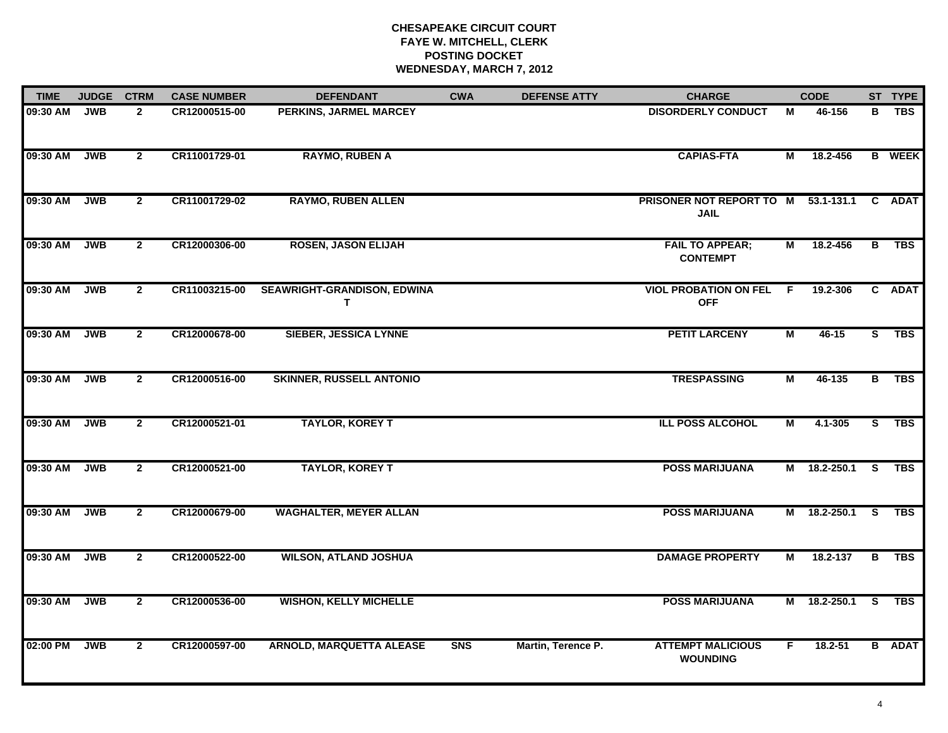| <b>TIME</b> | <b>JUDGE</b> | <b>CTRM</b>    | <b>CASE NUMBER</b> | <b>DEFENDANT</b>                 | <b>CWA</b> | <b>DEFENSE ATTY</b> | <b>CHARGE</b>                                      |                | <b>CODE</b>  |                         | ST TYPE       |
|-------------|--------------|----------------|--------------------|----------------------------------|------------|---------------------|----------------------------------------------------|----------------|--------------|-------------------------|---------------|
| 09:30 AM    | <b>JWB</b>   | $\mathbf{2}$   | CR12000515-00      | PERKINS, JARMEL MARCEY           |            |                     | <b>DISORDERLY CONDUCT</b>                          | М              | 46-156       | в                       | <b>TBS</b>    |
| 09:30 AM    | <b>JWB</b>   | $\overline{2}$ | CR11001729-01      | <b>RAYMO, RUBEN A</b>            |            |                     | <b>CAPIAS-FTA</b>                                  | М              | 18.2-456     |                         | <b>B</b> WEEK |
| 09:30 AM    | <b>JWB</b>   | $\overline{2}$ | CR11001729-02      | <b>RAYMO, RUBEN ALLEN</b>        |            |                     | PRISONER NOT REPORT TO M 53.1-131.1<br><b>JAIL</b> |                |              |                         | C ADAT        |
| 09:30 AM    | <b>JWB</b>   | $\overline{2}$ | CR12000306-00      | <b>ROSEN, JASON ELIJAH</b>       |            |                     | <b>FAIL TO APPEAR;</b><br><b>CONTEMPT</b>          | Μ              | 18.2-456     | B                       | <b>TBS</b>    |
| 09:30 AM    | <b>JWB</b>   | $\mathbf{2}$   | CR11003215-00      | SEAWRIGHT-GRANDISON, EDWINA<br>Τ |            |                     | <b>VIOL PROBATION ON FEL</b><br><b>OFF</b>         | F.             | 19.2-306     |                         | C ADAT        |
| 09:30 AM    | <b>JWB</b>   | $\mathbf{2}$   | CR12000678-00      | <b>SIEBER, JESSICA LYNNE</b>     |            |                     | <b>PETIT LARCENY</b>                               | M              | $46 - 15$    |                         | S TBS         |
| 09:30 AM    | <b>JWB</b>   | $\overline{2}$ | CR12000516-00      | <b>SKINNER, RUSSELL ANTONIO</b>  |            |                     | <b>TRESPASSING</b>                                 | $\overline{M}$ | 46-135       | $\overline{B}$          | <b>TBS</b>    |
| 09:30 AM    | <b>JWB</b>   | $\overline{2}$ | CR12000521-01      | <b>TAYLOR, KOREY T</b>           |            |                     | <b>ILL POSS ALCOHOL</b>                            | М              | 4.1-305      | $\overline{s}$          | <b>TBS</b>    |
| 09:30 AM    | <b>JWB</b>   | $\overline{2}$ | CR12000521-00      | <b>TAYLOR, KOREY T</b>           |            |                     | <b>POSS MARIJUANA</b>                              |                | M 18.2-250.1 | <b>S</b>                | TBS           |
| 09:30 AM    | <b>JWB</b>   | $\mathbf{2}$   | CR12000679-00      | <b>WAGHALTER, MEYER ALLAN</b>    |            |                     | <b>POSS MARIJUANA</b>                              |                | M 18.2-250.1 | $\overline{\mathbf{s}}$ | <b>TBS</b>    |
| 09:30 AM    | <b>JWB</b>   | $\overline{2}$ | CR12000522-00      | <b>WILSON, ATLAND JOSHUA</b>     |            |                     | <b>DAMAGE PROPERTY</b>                             | М              | 18.2-137     | B                       | TBS           |
| 09:30 AM    | <b>JWB</b>   | $\overline{2}$ | CR12000536-00      | <b>WISHON, KELLY MICHELLE</b>    |            |                     | <b>POSS MARIJUANA</b>                              |                | M 18.2-250.1 | -S                      | TBS           |
| 02:00 PM    | <b>JWB</b>   | $\overline{2}$ | CR12000597-00      | <b>ARNOLD, MARQUETTA ALEASE</b>  | <b>SNS</b> | Martin, Terence P.  | <b>ATTEMPT MALICIOUS</b><br><b>WOUNDING</b>        | F.             | $18.2 - 51$  |                         | <b>B</b> ADAT |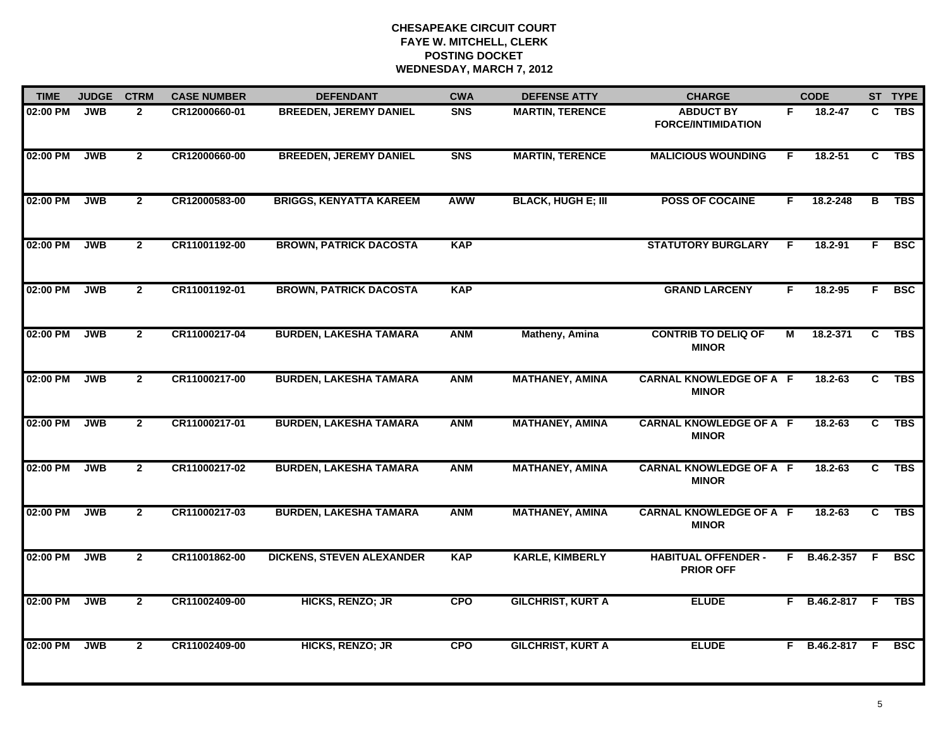| <b>TIME</b> | <b>JUDGE</b> | <b>CTRM</b>    | <b>CASE NUMBER</b> | <b>DEFENDANT</b>                 | <b>CWA</b> | <b>DEFENSE ATTY</b>       | <b>CHARGE</b>                                  |    | <b>CODE</b>      |                | ST TYPE    |
|-------------|--------------|----------------|--------------------|----------------------------------|------------|---------------------------|------------------------------------------------|----|------------------|----------------|------------|
| 02:00 PM    | <b>JWB</b>   | $\overline{2}$ | CR12000660-01      | <b>BREEDEN, JEREMY DANIEL</b>    | <b>SNS</b> | <b>MARTIN, TERENCE</b>    | <b>ABDUCT BY</b><br><b>FORCE/INTIMIDATION</b>  | F. | 18.2-47          | C.             | <b>TBS</b> |
| 02:00 PM    | <b>JWB</b>   | $\overline{2}$ | CR12000660-00      | <b>BREEDEN, JEREMY DANIEL</b>    | <b>SNS</b> | <b>MARTIN, TERENCE</b>    | <b>MALICIOUS WOUNDING</b>                      | F. | $18.2 - 51$      | C              | TBS        |
| 02:00 PM    | <b>JWB</b>   | $\overline{2}$ | CR12000583-00      | <b>BRIGGS, KENYATTA KAREEM</b>   | <b>AWW</b> | <b>BLACK, HUGH E; III</b> | <b>POSS OF COCAINE</b>                         | F  | 18.2-248         | $\overline{B}$ | <b>TBS</b> |
| 02:00 PM    | <b>JWB</b>   | $\mathbf{2}$   | CR11001192-00      | <b>BROWN, PATRICK DACOSTA</b>    | <b>KAP</b> |                           | <b>STATUTORY BURGLARY</b>                      | E  | 18.2-91          | F.             | <b>BSC</b> |
| 02:00 PM    | <b>JWB</b>   | $\overline{2}$ | CR11001192-01      | <b>BROWN, PATRICK DACOSTA</b>    | <b>KAP</b> |                           | <b>GRAND LARCENY</b>                           | F. | $18.2 - 95$      | F.             | <b>BSC</b> |
| 02:00 PM    | <b>JWB</b>   | $\mathbf{2}$   | CR11000217-04      | <b>BURDEN, LAKESHA TAMARA</b>    | <b>ANM</b> | Matheny, Amina            | <b>CONTRIB TO DELIQ OF</b><br><b>MINOR</b>     | М  | 18.2-371         | C              | <b>TBS</b> |
| 02:00 PM    | <b>JWB</b>   | $\overline{2}$ | CR11000217-00      | <b>BURDEN, LAKESHA TAMARA</b>    | <b>ANM</b> | <b>MATHANEY, AMINA</b>    | <b>CARNAL KNOWLEDGE OF A F</b><br><b>MINOR</b> |    | $18.2 - 63$      | C              | <b>TBS</b> |
| 02:00 PM    | <b>JWB</b>   | $\overline{2}$ | CR11000217-01      | <b>BURDEN, LAKESHA TAMARA</b>    | <b>ANM</b> | <b>MATHANEY, AMINA</b>    | <b>CARNAL KNOWLEDGE OF A F</b><br><b>MINOR</b> |    | 18.2-63          | C.             | <b>TBS</b> |
| 02:00 PM    | <b>JWB</b>   | $\overline{2}$ | CR11000217-02      | <b>BURDEN, LAKESHA TAMARA</b>    | <b>ANM</b> | <b>MATHANEY, AMINA</b>    | <b>CARNAL KNOWLEDGE OF A F</b><br><b>MINOR</b> |    | $18.2 - 63$      | C.             | <b>TBS</b> |
| 02:00 PM    | <b>JWB</b>   | $\mathbf{2}$   | CR11000217-03      | <b>BURDEN, LAKESHA TAMARA</b>    | <b>ANM</b> | <b>MATHANEY, AMINA</b>    | <b>CARNAL KNOWLEDGE OF A F</b><br><b>MINOR</b> |    | $18.2 - 63$      | C              | <b>TBS</b> |
| 02:00 PM    | <b>JWB</b>   | $\mathbf{2}$   | CR11001862-00      | <b>DICKENS, STEVEN ALEXANDER</b> | <b>KAP</b> | <b>KARLE, KIMBERLY</b>    | <b>HABITUAL OFFENDER -</b><br><b>PRIOR OFF</b> |    | F B.46.2-357 F   |                | <b>BSC</b> |
| 02:00 PM    | <b>JWB</b>   | $\overline{2}$ | CR11002409-00      | HICKS, RENZO; JR                 | <b>CPO</b> | <b>GILCHRIST, KURT A</b>  | <b>ELUDE</b>                                   |    | F B.46.2-817 F   |                | <b>TBS</b> |
| 02:00 PM    | <b>JWB</b>   | $\overline{2}$ | CR11002409-00      | <b>HICKS, RENZO; JR</b>          | <b>CPO</b> | <b>GILCHRIST, KURT A</b>  | <b>ELUDE</b>                                   |    | $F$ B.46.2-817 F |                | <b>BSC</b> |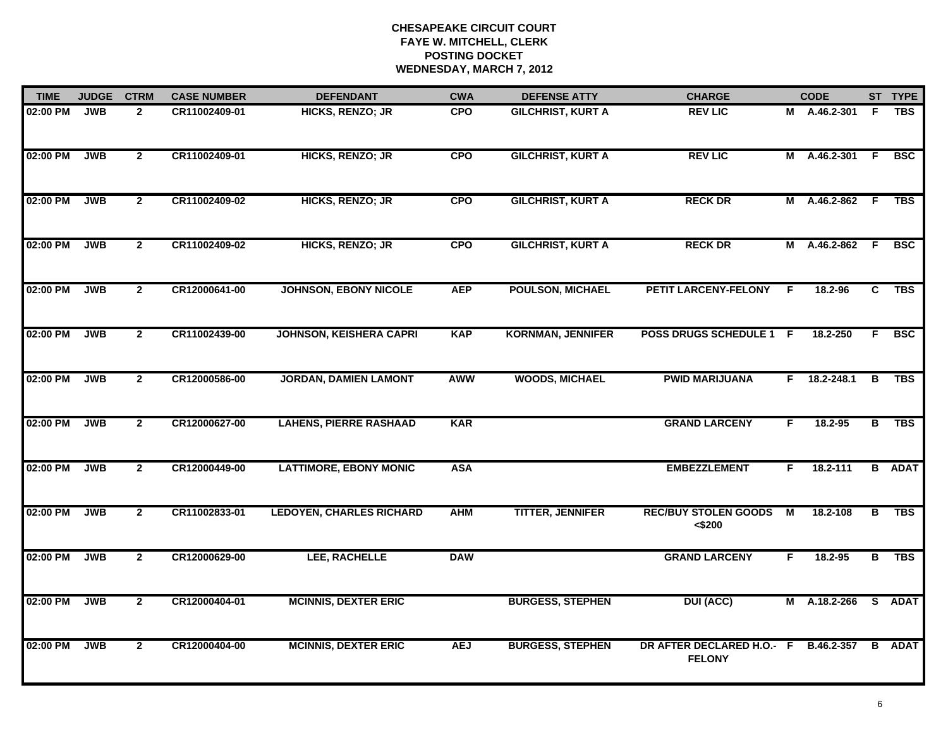| <b>TIME</b> | <b>JUDGE</b> | <b>CTRM</b>    | <b>CASE NUMBER</b> | <b>DEFENDANT</b>                | <b>CWA</b> | <b>DEFENSE ATTY</b>      | <b>CHARGE</b>                              |    | <b>CODE</b>       |     | ST TYPE       |
|-------------|--------------|----------------|--------------------|---------------------------------|------------|--------------------------|--------------------------------------------|----|-------------------|-----|---------------|
| 02:00 PM    | <b>JWB</b>   | $\mathbf{2}$   | CR11002409-01      | <b>HICKS, RENZO; JR</b>         | <b>CPO</b> | <b>GILCHRIST, KURT A</b> | <b>REV LIC</b>                             |    | M A.46.2-301      | -F  | <b>TBS</b>    |
| 02:00 PM    | <b>JWB</b>   | $\overline{2}$ | CR11002409-01      | HICKS, RENZO; JR                | <b>CPO</b> | <b>GILCHRIST, KURT A</b> | <b>REV LIC</b>                             |    | M A.46.2-301 F    |     | <b>BSC</b>    |
| 02:00 PM    | <b>JWB</b>   | $\overline{2}$ | CR11002409-02      | HICKS, RENZO; JR                | <b>CPO</b> | <b>GILCHRIST, KURT A</b> | <b>RECK DR</b>                             |    | M A.46.2-862 F    |     | <b>TBS</b>    |
| 02:00 PM    | <b>JWB</b>   | $\overline{2}$ | CR11002409-02      | HICKS, RENZO; JR                | <b>CPO</b> | <b>GILCHRIST, KURT A</b> | <b>RECK DR</b>                             |    | M A.46.2-862      | - F | <b>BSC</b>    |
| 02:00 PM    | <b>JWB</b>   | $\overline{2}$ | CR12000641-00      | <b>JOHNSON, EBONY NICOLE</b>    | <b>AEP</b> | <b>POULSON, MICHAEL</b>  | PETIT LARCENY-FELONY                       | F. | $18.2 - 96$       | C.  | TBS           |
| 02:00 PM    | <b>JWB</b>   | $\overline{2}$ | CR11002439-00      | <b>JOHNSON, KEISHERA CAPRI</b>  | <b>KAP</b> | <b>KORNMAN, JENNIFER</b> | POSS DRUGS SCHEDULE 1 F                    |    | 18.2-250          | F.  | <b>BSC</b>    |
| 02:00 PM    | <b>JWB</b>   | $\overline{2}$ | CR12000586-00      | <b>JORDAN, DAMIEN LAMONT</b>    | <b>AWW</b> | <b>WOODS, MICHAEL</b>    | <b>PWID MARIJUANA</b>                      | F. | 18.2-248.1        | В   | <b>TBS</b>    |
| 02:00 PM    | <b>JWB</b>   | $\overline{2}$ | CR12000627-00      | <b>LAHENS, PIERRE RASHAAD</b>   | <b>KAR</b> |                          | <b>GRAND LARCENY</b>                       | F  | 18.2-95           | В   | <b>TBS</b>    |
| 02:00 PM    | <b>JWB</b>   | $\overline{2}$ | CR12000449-00      | <b>LATTIMORE, EBONY MONIC</b>   | <b>ASA</b> |                          | <b>EMBEZZLEMENT</b>                        | F. | 18.2-111          |     | <b>B</b> ADAT |
| 02:00 PM    | <b>JWB</b>   | $\mathbf{2}$   | CR11002833-01      | <b>LEDOYEN, CHARLES RICHARD</b> | <b>AHM</b> | <b>TITTER, JENNIFER</b>  | <b>REC/BUY STOLEN GOODS</b><br>$<$ \$200   | M  | 18.2-108          | B   | <b>TBS</b>    |
| 02:00 PM    | <b>JWB</b>   | $\mathbf{2}$   | CR12000629-00      | LEE, RACHELLE                   | <b>DAW</b> |                          | <b>GRAND LARCENY</b>                       | F. | 18.2-95           |     | B TBS         |
| 02:00 PM    | <b>JWB</b>   | $\overline{2}$ | CR12000404-01      | <b>MCINNIS, DEXTER ERIC</b>     |            | <b>BURGESS, STEPHEN</b>  | <b>DUI (ACC)</b>                           |    | M A.18.2-266      |     | S ADAT        |
| 02:00 PM    | <b>JWB</b>   | $\overline{2}$ | CR12000404-00      | <b>MCINNIS, DEXTER ERIC</b>     | <b>AEJ</b> | <b>BURGESS, STEPHEN</b>  | DR AFTER DECLARED H.O.- F<br><b>FELONY</b> |    | <b>B.46.2-357</b> |     | <b>B</b> ADAT |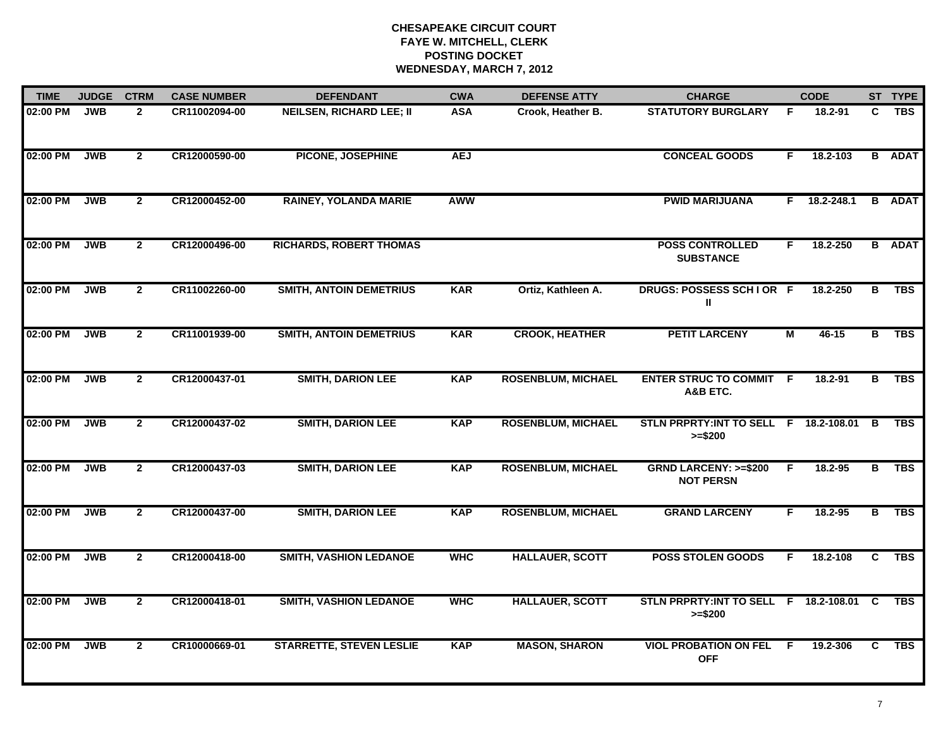| <b>TIME</b> | <b>JUDGE</b> | <b>CTRM</b>    | <b>CASE NUMBER</b> | <b>DEFENDANT</b>                | <b>CWA</b> | <b>DEFENSE ATTY</b>       | <b>CHARGE</b>                                         |     | <b>CODE</b> |   | ST TYPE       |
|-------------|--------------|----------------|--------------------|---------------------------------|------------|---------------------------|-------------------------------------------------------|-----|-------------|---|---------------|
| 02:00 PM    | <b>JWB</b>   | $\overline{2}$ | CR11002094-00      | <b>NEILSEN, RICHARD LEE; II</b> | <b>ASA</b> | Crook, Heather B.         | <b>STATUTORY BURGLARY</b>                             | F   | 18.2-91     | C | <b>TBS</b>    |
| 02:00 PM    | <b>JWB</b>   | $\overline{2}$ | CR12000590-00      | PICONE, JOSEPHINE               | <b>AEJ</b> |                           | <b>CONCEAL GOODS</b>                                  | F.  | 18.2-103    |   | <b>B</b> ADAT |
| 02:00 PM    | <b>JWB</b>   | $\overline{2}$ | CR12000452-00      | <b>RAINEY, YOLANDA MARIE</b>    | <b>AWW</b> |                           | <b>PWID MARIJUANA</b>                                 | F.  | 18.2-248.1  |   | <b>B</b> ADAT |
| 02:00 PM    | <b>JWB</b>   | $\overline{2}$ | CR12000496-00      | <b>RICHARDS, ROBERT THOMAS</b>  |            |                           | <b>POSS CONTROLLED</b><br><b>SUBSTANCE</b>            | F.  | 18.2-250    |   | <b>B</b> ADAT |
| 02:00 PM    | <b>JWB</b>   | $\overline{2}$ | CR11002260-00      | <b>SMITH, ANTOIN DEMETRIUS</b>  | <b>KAR</b> | Ortiz, Kathleen A.        | DRUGS: POSSESS SCHIOR F<br>Ш                          |     | 18.2-250    | В | TBS           |
| 02:00 PM    | <b>JWB</b>   | $\overline{2}$ | CR11001939-00      | <b>SMITH, ANTOIN DEMETRIUS</b>  | <b>KAR</b> | <b>CROOK, HEATHER</b>     | <b>PETIT LARCENY</b>                                  | М   | 46-15       | В | TBS           |
| 02:00 PM    | <b>JWB</b>   | $\overline{2}$ | CR12000437-01      | <b>SMITH, DARION LEE</b>        | <b>KAP</b> | <b>ROSENBLUM, MICHAEL</b> | <b>ENTER STRUC TO COMMIT F</b><br>A&B ETC.            |     | $18.2 - 91$ | в | <b>TBS</b>    |
| 02:00 PM    | <b>JWB</b>   | $\overline{2}$ | CR12000437-02      | <b>SMITH, DARION LEE</b>        | <b>KAP</b> | <b>ROSENBLUM, MICHAEL</b> | STLN PRPRTY: INT TO SELL F 18.2-108.01<br>$>= $200$   |     |             | B | <b>TBS</b>    |
| 02:00 PM    | <b>JWB</b>   | $\overline{2}$ | CR12000437-03      | <b>SMITH, DARION LEE</b>        | <b>KAP</b> | <b>ROSENBLUM, MICHAEL</b> | <b>GRND LARCENY: &gt;=\$200</b><br><b>NOT PERSN</b>   | F.  | $18.2 - 95$ | в | <b>TBS</b>    |
| 02:00 PM    | <b>JWB</b>   | $\overline{2}$ | CR12000437-00      | <b>SMITH, DARION LEE</b>        | <b>KAP</b> | <b>ROSENBLUM, MICHAEL</b> | <b>GRAND LARCENY</b>                                  | F.  | $18.2 - 95$ | B | <b>TBS</b>    |
| 02:00 PM    | <b>JWB</b>   | $\mathbf{2}$   | CR12000418-00      | <b>SMITH, VASHION LEDANOE</b>   | <b>WHC</b> | <b>HALLAUER, SCOTT</b>    | <b>POSS STOLEN GOODS</b>                              | F.  | 18.2-108    | C | <b>TBS</b>    |
| 02:00 PM    | <b>JWB</b>   | $\overline{2}$ | CR12000418-01      | <b>SMITH, VASHION LEDANOE</b>   | <b>WHC</b> | <b>HALLAUER, SCOTT</b>    | STLN PRPRTY: INT TO SELL F 18.2-108.01 C<br>$>= $200$ |     |             |   | <b>TBS</b>    |
| 02:00 PM    | <b>JWB</b>   | $\mathbf{2}$   | CR10000669-01      | <b>STARRETTE, STEVEN LESLIE</b> | <b>KAP</b> | <b>MASON, SHARON</b>      | <b>VIOL PROBATION ON FEL</b><br><b>OFF</b>            | - F | 19.2-306    | C | <b>TBS</b>    |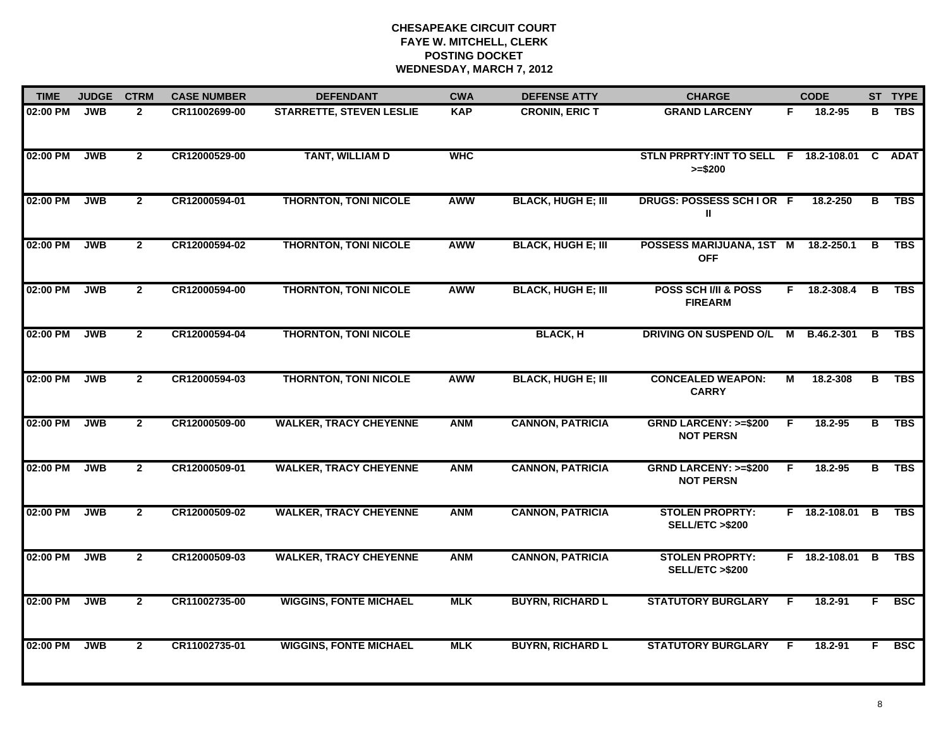| <b>TIME</b> | <b>JUDGE</b> | <b>CTRM</b>    | <b>CASE NUMBER</b> | <b>DEFENDANT</b>                | <b>CWA</b> | <b>DEFENSE ATTY</b>       | <b>CHARGE</b>                                             |    | <b>CODE</b>     |    | ST TYPE    |
|-------------|--------------|----------------|--------------------|---------------------------------|------------|---------------------------|-----------------------------------------------------------|----|-----------------|----|------------|
| 02:00 PM    | <b>JWB</b>   | $\overline{2}$ | CR11002699-00      | <b>STARRETTE, STEVEN LESLIE</b> | <b>KAP</b> | <b>CRONIN, ERIC T</b>     | <b>GRAND LARCENY</b>                                      | F. | 18.2-95         | в  | <b>TBS</b> |
| 02:00 PM    | <b>JWB</b>   | $\overline{2}$ | CR12000529-00      | <b>TANT, WILLIAM D</b>          | <b>WHC</b> |                           | STLN PRPRTY:INT TO SELL F 18.2-108.01 C ADAT<br>$>= $200$ |    |                 |    |            |
| 02:00 PM    | <b>JWB</b>   | $\overline{2}$ | CR12000594-01      | <b>THORNTON, TONI NICOLE</b>    | <b>AWW</b> | <b>BLACK, HUGH E; III</b> | DRUGS: POSSESS SCHIOR F<br>Ш                              |    | 18.2-250        | В  | <b>TBS</b> |
| 02:00 PM    | <b>JWB</b>   | $\overline{2}$ | CR12000594-02      | <b>THORNTON, TONI NICOLE</b>    | <b>AWW</b> | <b>BLACK, HUGH E; III</b> | POSSESS MARIJUANA, 1ST M<br><b>OFF</b>                    |    | 18.2-250.1      | B  | <b>TBS</b> |
| 02:00 PM    | <b>JWB</b>   | $\overline{2}$ | CR12000594-00      | <b>THORNTON, TONI NICOLE</b>    | <b>AWW</b> | <b>BLACK, HUGH E; III</b> | POSS SCH I/II & POSS<br><b>FIREARM</b>                    |    | F 18.2-308.4    | B  | <b>TBS</b> |
| 02:00 PM    | <b>JWB</b>   | $\overline{2}$ | CR12000594-04      | <b>THORNTON, TONI NICOLE</b>    |            | <b>BLACK, H</b>           | DRIVING ON SUSPEND O/L                                    | M  | B.46.2-301      | в  | <b>TBS</b> |
| 02:00 PM    | <b>JWB</b>   | $\overline{2}$ | CR12000594-03      | <b>THORNTON, TONI NICOLE</b>    | <b>AWW</b> | <b>BLACK, HUGH E; III</b> | <b>CONCEALED WEAPON:</b><br><b>CARRY</b>                  | М  | 18.2-308        | в  | <b>TBS</b> |
| 02:00 PM    | <b>JWB</b>   | $\overline{2}$ | CR12000509-00      | <b>WALKER, TRACY CHEYENNE</b>   | <b>ANM</b> | <b>CANNON, PATRICIA</b>   | <b>GRND LARCENY: &gt;=\$200</b><br><b>NOT PERSN</b>       | F. | 18.2-95         | в  | <b>TBS</b> |
| 02:00 PM    | <b>JWB</b>   | $\overline{2}$ | CR12000509-01      | <b>WALKER, TRACY CHEYENNE</b>   | <b>ANM</b> | <b>CANNON, PATRICIA</b>   | <b>GRND LARCENY: &gt;=\$200</b><br><b>NOT PERSN</b>       | F. | 18.2-95         | B. | TBS        |
| 02:00 PM    | <b>JWB</b>   | $\mathbf{2}$   | CR12000509-02      | <b>WALKER, TRACY CHEYENNE</b>   | <b>ANM</b> | <b>CANNON, PATRICIA</b>   | <b>STOLEN PROPRTY:</b><br>SELL/ETC >\$200                 |    | F 18.2-108.01   | B  | <b>TBS</b> |
| 02:00 PM    | <b>JWB</b>   | $\mathbf{2}$   | CR12000509-03      | <b>WALKER, TRACY CHEYENNE</b>   | <b>ANM</b> | <b>CANNON, PATRICIA</b>   | <b>STOLEN PROPRTY:</b><br><b>SELL/ETC &gt;\$200</b>       |    | F 18.2-108.01 B |    | <b>TBS</b> |
| 02:00 PM    | <b>JWB</b>   | $\overline{2}$ | CR11002735-00      | <b>WIGGINS, FONTE MICHAEL</b>   | <b>MLK</b> | <b>BUYRN, RICHARD L</b>   | <b>STATUTORY BURGLARY</b>                                 | F. | 18.2-91         | F. | <b>BSC</b> |
| 02:00 PM    | <b>JWB</b>   | $\overline{2}$ | CR11002735-01      | <b>WIGGINS, FONTE MICHAEL</b>   | <b>MLK</b> | <b>BUYRN, RICHARD L</b>   | <b>STATUTORY BURGLARY</b>                                 | -F | 18.2-91         | F. | <b>BSC</b> |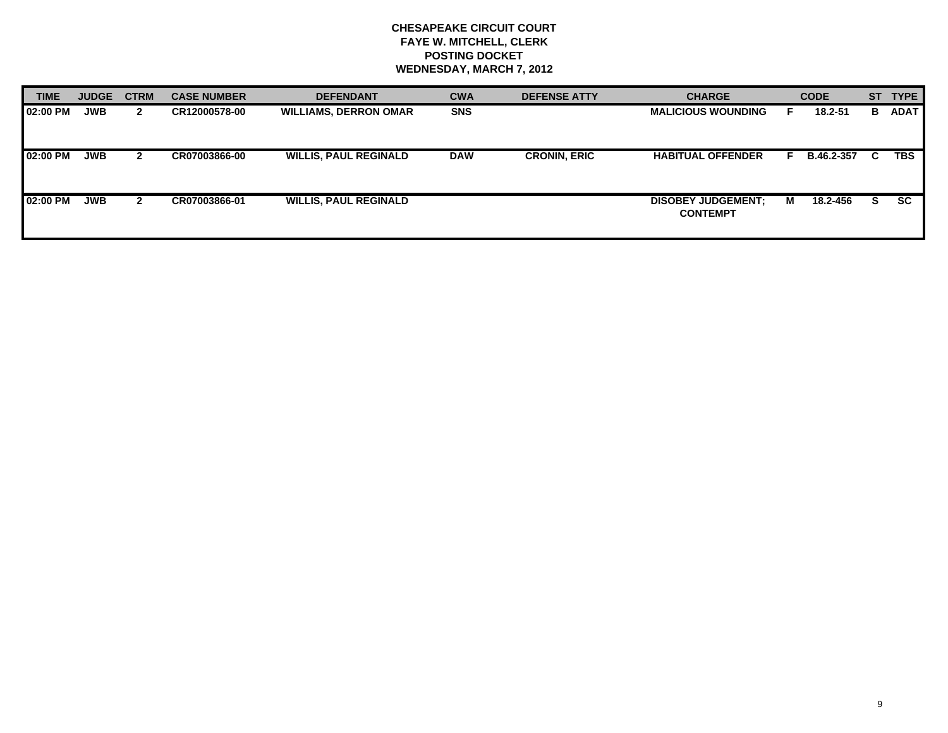| <b>TIME</b>     | <b>JUDGE</b> | <b>CTRM</b>  | <b>CASE NUMBER</b> | <b>DEFENDANT</b>             | <b>CWA</b> | <b>DEFENSE ATTY</b> | <b>CHARGE</b>                                |   | <b>CODE</b> | <b>ST</b> | <b>TYPE</b> |
|-----------------|--------------|--------------|--------------------|------------------------------|------------|---------------------|----------------------------------------------|---|-------------|-----------|-------------|
| <b>02:00 PM</b> | <b>JWB</b>   | $\mathbf{2}$ | CR12000578-00      | <b>WILLIAMS, DERRON OMAR</b> | <b>SNS</b> |                     | <b>MALICIOUS WOUNDING</b>                    |   | 18.2-51     | В         | <b>ADAT</b> |
| 02:00 PM        | <b>JWB</b>   |              | CR07003866-00      | <b>WILLIS, PAUL REGINALD</b> | <b>DAW</b> | <b>CRONIN, ERIC</b> | <b>HABITUAL OFFENDER</b>                     |   | B.46.2-357  | C.        | <b>TBS</b>  |
| 02:00 PM        | <b>JWB</b>   | 2            | CR07003866-01      | <b>WILLIS, PAUL REGINALD</b> |            |                     | <b>DISOBEY JUDGEMENT:</b><br><b>CONTEMPT</b> | м | 18.2-456    | S.        | <b>SC</b>   |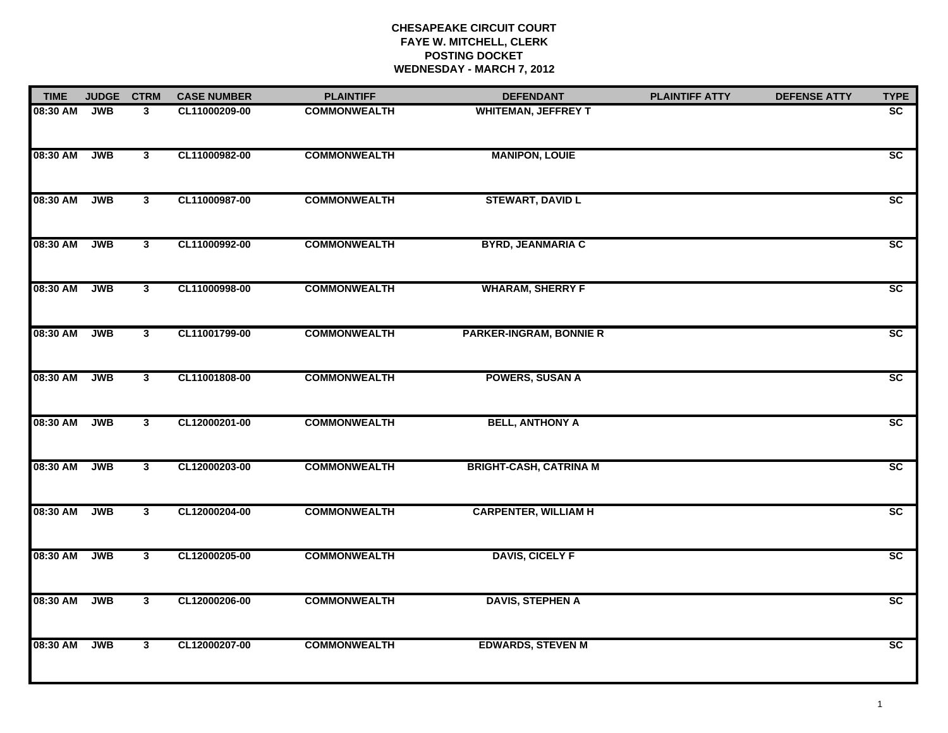| <b>TIME</b> | <b>JUDGE</b> | <b>CTRM</b>             | <b>CASE NUMBER</b> | <b>PLAINTIFF</b>    | <b>DEFENDANT</b>               | <b>PLAINTIFF ATTY</b> | <b>DEFENSE ATTY</b> | <b>TYPE</b>     |
|-------------|--------------|-------------------------|--------------------|---------------------|--------------------------------|-----------------------|---------------------|-----------------|
| 08:30 AM    | <b>JWB</b>   | 3                       | CL11000209-00      | <b>COMMONWEALTH</b> | <b>WHITEMAN, JEFFREY T</b>     |                       |                     | SC              |
| 08:30 AM    | <b>JWB</b>   | 3                       | CL11000982-00      | <b>COMMONWEALTH</b> | <b>MANIPON, LOUIE</b>          |                       |                     | $\overline{sc}$ |
| 08:30 AM    | <b>JWB</b>   | $\overline{\mathbf{3}}$ | CL11000987-00      | <b>COMMONWEALTH</b> | <b>STEWART, DAVID L</b>        |                       |                     | SC              |
| 08:30 AM    | <b>JWB</b>   | 3 <sup>1</sup>          | CL11000992-00      | <b>COMMONWEALTH</b> | <b>BYRD, JEANMARIA C</b>       |                       |                     | SC              |
| 08:30 AM    | <b>JWB</b>   | $\overline{3}$          | CL11000998-00      | <b>COMMONWEALTH</b> | <b>WHARAM, SHERRY F</b>        |                       |                     | SC              |
| 08:30 AM    | <b>JWB</b>   | $\overline{\mathbf{3}}$ | CL11001799-00      | <b>COMMONWEALTH</b> | <b>PARKER-INGRAM, BONNIE R</b> |                       |                     | SC              |
| 08:30 AM    | <b>JWB</b>   | $\overline{\mathbf{3}}$ | CL11001808-00      | <b>COMMONWEALTH</b> | <b>POWERS, SUSAN A</b>         |                       |                     | $\overline{sc}$ |
| 08:30 AM    | <b>JWB</b>   | $\overline{\mathbf{3}}$ | CL12000201-00      | <b>COMMONWEALTH</b> | <b>BELL, ANTHONY A</b>         |                       |                     | SC              |
| 08:30 AM    | <b>JWB</b>   | 3 <sup>1</sup>          | CL12000203-00      | <b>COMMONWEALTH</b> | <b>BRIGHT-CASH, CATRINA M</b>  |                       |                     | $\overline{sc}$ |
| 08:30 AM    | <b>JWB</b>   | 3 <sup>1</sup>          | CL12000204-00      | <b>COMMONWEALTH</b> | <b>CARPENTER, WILLIAM H</b>    |                       |                     | SC              |
| 08:30 AM    | <b>JWB</b>   | $\overline{\mathbf{3}}$ | CL12000205-00      | <b>COMMONWEALTH</b> | <b>DAVIS, CICELY F</b>         |                       |                     | $\overline{sc}$ |
| 08:30 AM    | <b>JWB</b>   | $\overline{\mathbf{3}}$ | CL12000206-00      | <b>COMMONWEALTH</b> | <b>DAVIS, STEPHEN A</b>        |                       |                     | SC              |
| 08:30 AM    | <b>JWB</b>   | $\mathbf{3}$            | CL12000207-00      | <b>COMMONWEALTH</b> | <b>EDWARDS, STEVEN M</b>       |                       |                     | SC              |
|             |              |                         |                    |                     |                                |                       |                     |                 |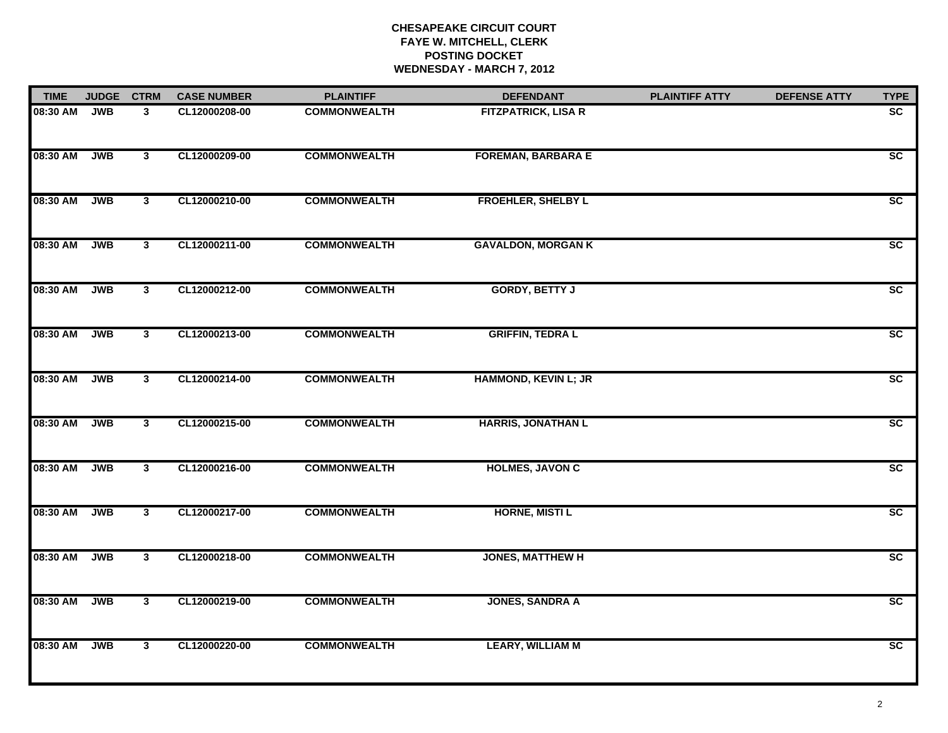| <b>TIME</b> | <b>JUDGE</b> | <b>CTRM</b>             | <b>CASE NUMBER</b> | <b>PLAINTIFF</b>    | <b>DEFENDANT</b>            | <b>PLAINTIFF ATTY</b> | <b>DEFENSE ATTY</b> | <b>TYPE</b>     |
|-------------|--------------|-------------------------|--------------------|---------------------|-----------------------------|-----------------------|---------------------|-----------------|
| 08:30 AM    | <b>JWB</b>   | 3                       | CL12000208-00      | <b>COMMONWEALTH</b> | <b>FITZPATRICK, LISA R</b>  |                       |                     | $\overline{sc}$ |
| 08:30 AM    | <b>JWB</b>   | $\overline{\mathbf{3}}$ | CL12000209-00      | <b>COMMONWEALTH</b> | <b>FOREMAN, BARBARA E</b>   |                       |                     | $\overline{sc}$ |
| 08:30 AM    | <b>JWB</b>   | $\mathbf{3}$            | CL12000210-00      | <b>COMMONWEALTH</b> | <b>FROEHLER, SHELBY L</b>   |                       |                     | $\overline{SC}$ |
| 08:30 AM    | <b>JWB</b>   | $\mathbf{3}$            | CL12000211-00      | <b>COMMONWEALTH</b> | <b>GAVALDON, MORGAN K</b>   |                       |                     | $\overline{SC}$ |
| 08:30 AM    | <b>JWB</b>   | $\mathbf{3}$            | CL12000212-00      | <b>COMMONWEALTH</b> | <b>GORDY, BETTY J</b>       |                       |                     | $\overline{sc}$ |
| 08:30 AM    | <b>JWB</b>   | $\overline{\mathbf{3}}$ | CL12000213-00      | <b>COMMONWEALTH</b> | <b>GRIFFIN, TEDRAL</b>      |                       |                     | SC              |
| 08:30 AM    | <b>JWB</b>   | $\overline{\mathbf{3}}$ | CL12000214-00      | <b>COMMONWEALTH</b> | <b>HAMMOND, KEVIN L; JR</b> |                       |                     | $\overline{sc}$ |
| 08:30 AM    | <b>JWB</b>   | $\overline{\mathbf{3}}$ | CL12000215-00      | <b>COMMONWEALTH</b> | <b>HARRIS, JONATHAN L</b>   |                       |                     | SC              |
| 08:30 AM    | <b>JWB</b>   | $\mathbf{3}$            | CL12000216-00      | <b>COMMONWEALTH</b> | <b>HOLMES, JAVON C</b>      |                       |                     | SC              |
| 08:30 AM    | <b>JWB</b>   | 3 <sup>1</sup>          | CL12000217-00      | <b>COMMONWEALTH</b> | <b>HORNE, MISTIL</b>        |                       |                     | $\overline{SC}$ |
| 08:30 AM    | <b>JWB</b>   | $\overline{\mathbf{3}}$ | CL12000218-00      | <b>COMMONWEALTH</b> | <b>JONES, MATTHEW H</b>     |                       |                     | SC              |
| 08:30 AM    | <b>JWB</b>   | $\overline{\mathbf{3}}$ | CL12000219-00      | <b>COMMONWEALTH</b> | <b>JONES, SANDRA A</b>      |                       |                     | $\overline{sc}$ |
| 08:30 AM    | <b>JWB</b>   | $\overline{\mathbf{3}}$ | CL12000220-00      | <b>COMMONWEALTH</b> | <b>LEARY, WILLIAM M</b>     |                       |                     | SC              |
|             |              |                         |                    |                     |                             |                       |                     |                 |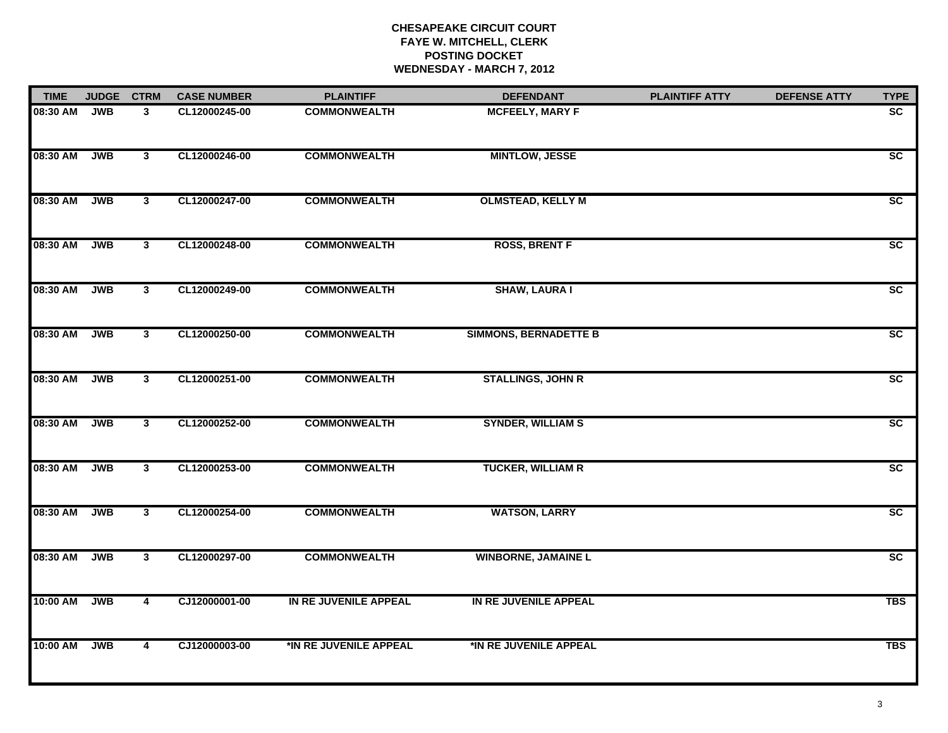| <b>TIME</b> | <b>JUDGE</b> | <b>CTRM</b>             | <b>CASE NUMBER</b> | <b>PLAINTIFF</b>       | <b>DEFENDANT</b>             | <b>PLAINTIFF ATTY</b> | <b>DEFENSE ATTY</b> | <b>TYPE</b>     |
|-------------|--------------|-------------------------|--------------------|------------------------|------------------------------|-----------------------|---------------------|-----------------|
| 08:30 AM    | <b>JWB</b>   | 3 <sup>1</sup>          | CL12000245-00      | <b>COMMONWEALTH</b>    | <b>MCFEELY, MARY F</b>       |                       |                     | $\overline{sc}$ |
| 08:30 AM    | <b>JWB</b>   | $\overline{\mathbf{3}}$ | CL12000246-00      | <b>COMMONWEALTH</b>    | <b>MINTLOW, JESSE</b>        |                       |                     | $\overline{sc}$ |
| 08:30 AM    | <b>JWB</b>   | $\overline{\mathbf{3}}$ | CL12000247-00      | <b>COMMONWEALTH</b>    | <b>OLMSTEAD, KELLY M</b>     |                       |                     | SC              |
| 08:30 AM    | <b>JWB</b>   | $\overline{\mathbf{3}}$ | CL12000248-00      | <b>COMMONWEALTH</b>    | <b>ROSS, BRENT F</b>         |                       |                     | SC              |
| 08:30 AM    | <b>JWB</b>   | $\overline{3}$          | CL12000249-00      | <b>COMMONWEALTH</b>    | <b>SHAW, LAURA I</b>         |                       |                     | $\overline{SC}$ |
| 08:30 AM    | <b>JWB</b>   | $\overline{\mathbf{3}}$ | CL12000250-00      | <b>COMMONWEALTH</b>    | <b>SIMMONS, BERNADETTE B</b> |                       |                     | $\overline{sc}$ |
| 08:30 AM    | <b>JWB</b>   | $\overline{\mathbf{3}}$ | CL12000251-00      | <b>COMMONWEALTH</b>    | <b>STALLINGS, JOHN R</b>     |                       |                     | $\overline{sc}$ |
| 08:30 AM    | <b>JWB</b>   | $\overline{\mathbf{3}}$ | CL12000252-00      | <b>COMMONWEALTH</b>    | <b>SYNDER, WILLIAM S</b>     |                       |                     | SC              |
| 08:30 AM    | <b>JWB</b>   | $\mathbf{3}$            | CL12000253-00      | <b>COMMONWEALTH</b>    | <b>TUCKER, WILLIAM R</b>     |                       |                     | SC              |
| 08:30 AM    | <b>JWB</b>   | $\overline{\mathbf{3}}$ | CL12000254-00      | <b>COMMONWEALTH</b>    | <b>WATSON, LARRY</b>         |                       |                     | $\overline{sc}$ |
| 08:30 AM    | <b>JWB</b>   | 3 <sup>1</sup>          | CL12000297-00      | <b>COMMONWEALTH</b>    | <b>WINBORNE, JAMAINE L</b>   |                       |                     | SC              |
| 10:00 AM    | <b>JWB</b>   | $\overline{4}$          | CJ12000001-00      | IN RE JUVENILE APPEAL  | IN RE JUVENILE APPEAL        |                       |                     | <b>TBS</b>      |
| 10:00 AM    | <b>JWB</b>   | 4                       | CJ12000003-00      | *IN RE JUVENILE APPEAL | *IN RE JUVENILE APPEAL       |                       |                     | <b>TBS</b>      |
|             |              |                         |                    |                        |                              |                       |                     |                 |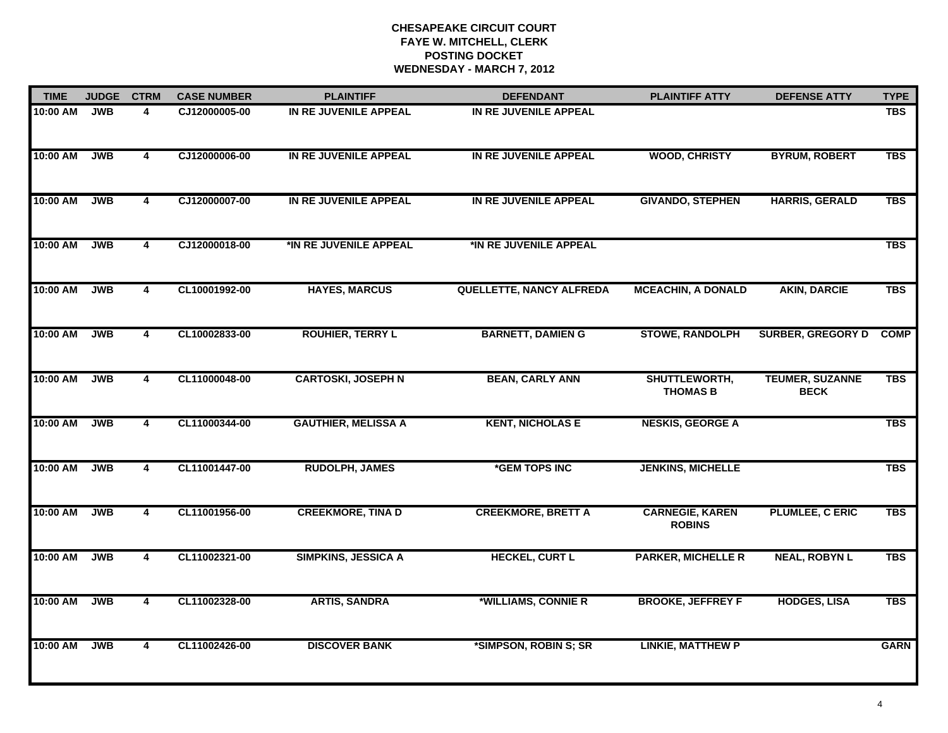| <b>TIME</b> | <b>JUDGE</b> | <b>CTRM</b>             | <b>CASE NUMBER</b> | <b>PLAINTIFF</b>           | <b>DEFENDANT</b>                | <b>PLAINTIFF ATTY</b>                   | <b>DEFENSE ATTY</b>                   | <b>TYPE</b> |
|-------------|--------------|-------------------------|--------------------|----------------------------|---------------------------------|-----------------------------------------|---------------------------------------|-------------|
| 10:00 AM    | <b>JWB</b>   | 4                       | CJ12000005-00      | IN RE JUVENILE APPEAL      | IN RE JUVENILE APPEAL           |                                         |                                       | <b>TBS</b>  |
| 10:00 AM    | <b>JWB</b>   | $\overline{4}$          | CJ12000006-00      | IN RE JUVENILE APPEAL      | IN RE JUVENILE APPEAL           | <b>WOOD, CHRISTY</b>                    | <b>BYRUM, ROBERT</b>                  | <b>TBS</b>  |
| 10:00 AM    | <b>JWB</b>   | $\overline{\mathbf{4}}$ | CJ12000007-00      | IN RE JUVENILE APPEAL      | IN RE JUVENILE APPEAL           | <b>GIVANDO, STEPHEN</b>                 | <b>HARRIS, GERALD</b>                 | <b>TBS</b>  |
| 10:00 AM    | <b>JWB</b>   | 4                       | CJ12000018-00      | *IN RE JUVENILE APPEAL     | *IN RE JUVENILE APPEAL          |                                         |                                       | <b>TBS</b>  |
| 10:00 AM    | <b>JWB</b>   | 4                       | CL10001992-00      | <b>HAYES, MARCUS</b>       | <b>QUELLETTE, NANCY ALFREDA</b> | <b>MCEACHIN, A DONALD</b>               | <b>AKIN, DARCIE</b>                   | <b>TBS</b>  |
| 10:00 AM    | <b>JWB</b>   | $\overline{4}$          | CL10002833-00      | <b>ROUHIER, TERRY L</b>    | <b>BARNETT, DAMIEN G</b>        | <b>STOWE, RANDOLPH</b>                  | <b>SURBER, GREGORY D</b>              | <b>COMP</b> |
| 10:00 AM    | <b>JWB</b>   | $\overline{4}$          | CL11000048-00      | <b>CARTOSKI, JOSEPH N</b>  | <b>BEAN, CARLY ANN</b>          | SHUTTLEWORTH,<br><b>THOMAS B</b>        | <b>TEUMER, SUZANNE</b><br><b>BECK</b> | <b>TBS</b>  |
| 10:00 AM    | <b>JWB</b>   | $\overline{\mathbf{4}}$ | CL11000344-00      | <b>GAUTHIER, MELISSA A</b> | <b>KENT, NICHOLAS E</b>         | <b>NESKIS, GEORGE A</b>                 |                                       | <b>TBS</b>  |
| 10:00 AM    | <b>JWB</b>   | 4                       | CL11001447-00      | <b>RUDOLPH, JAMES</b>      | *GEM TOPS INC                   | <b>JENKINS, MICHELLE</b>                |                                       | <b>TBS</b>  |
| 10:00 AM    | <b>JWB</b>   | 4                       | CL11001956-00      | <b>CREEKMORE, TINA D</b>   | <b>CREEKMORE, BRETT A</b>       | <b>CARNEGIE, KAREN</b><br><b>ROBINS</b> | <b>PLUMLEE, C ERIC</b>                | <b>TBS</b>  |
| 10:00 AM    | <b>JWB</b>   | $\overline{4}$          | CL11002321-00      | <b>SIMPKINS, JESSICA A</b> | <b>HECKEL, CURT L</b>           | <b>PARKER, MICHELLE R</b>               | <b>NEAL, ROBYN L</b>                  | <b>TBS</b>  |
| 10:00 AM    | <b>JWB</b>   | $\overline{4}$          | CL11002328-00      | <b>ARTIS, SANDRA</b>       | *WILLIAMS, CONNIE R             | <b>BROOKE, JEFFREY F</b>                | <b>HODGES, LISA</b>                   | <b>TBS</b>  |
| 10:00 AM    | <b>JWB</b>   | 4                       | CL11002426-00      | <b>DISCOVER BANK</b>       | *SIMPSON, ROBIN S; SR           | <b>LINKIE, MATTHEW P</b>                |                                       | <b>GARN</b> |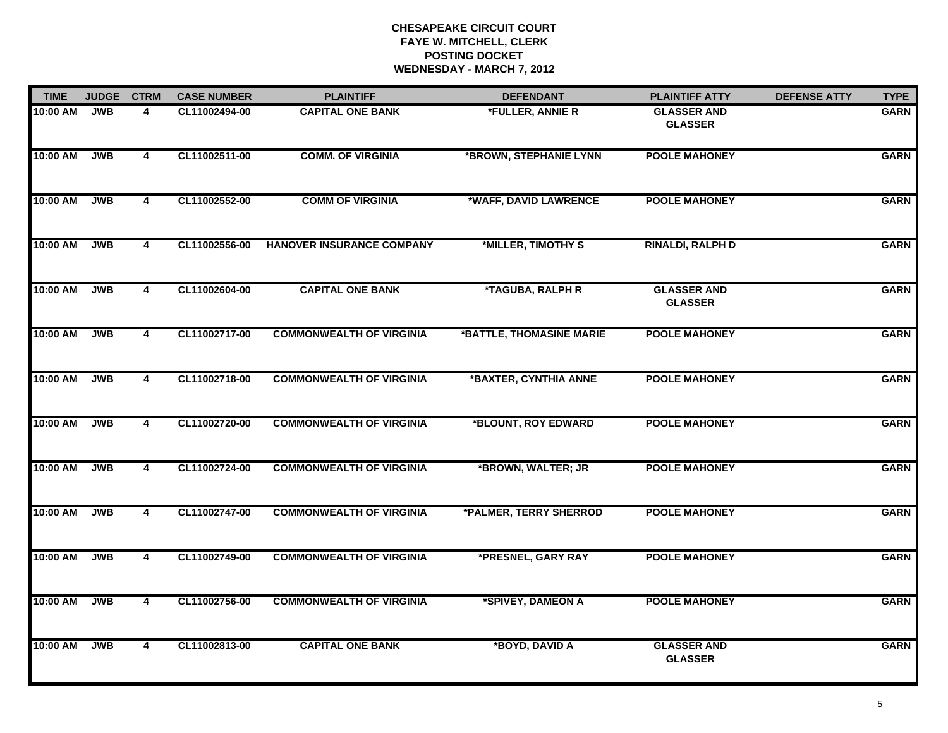| <b>TIME</b>  | <b>JUDGE</b> | <b>CTRM</b>             | <b>CASE NUMBER</b> | <b>PLAINTIFF</b>                 | <b>DEFENDANT</b>         | <b>PLAINTIFF ATTY</b>                | <b>DEFENSE ATTY</b> | <b>TYPE</b> |
|--------------|--------------|-------------------------|--------------------|----------------------------------|--------------------------|--------------------------------------|---------------------|-------------|
| 10:00 AM     | <b>JWB</b>   | 4                       | CL11002494-00      | <b>CAPITAL ONE BANK</b>          | *FULLER, ANNIE R         | <b>GLASSER AND</b><br><b>GLASSER</b> |                     | <b>GARN</b> |
| 10:00 AM     | JWB          | $\overline{4}$          | CL11002511-00      | <b>COMM. OF VIRGINIA</b>         | *BROWN, STEPHANIE LYNN   | <b>POOLE MAHONEY</b>                 |                     | <b>GARN</b> |
| 10:00 AM     | <b>JWB</b>   | $\overline{\mathbf{4}}$ | CL11002552-00      | <b>COMM OF VIRGINIA</b>          | *WAFF, DAVID LAWRENCE    | <b>POOLE MAHONEY</b>                 |                     | <b>GARN</b> |
| 10:00 AM     | <b>JWB</b>   | $\overline{\mathbf{4}}$ | CL11002556-00      | <b>HANOVER INSURANCE COMPANY</b> | *MILLER, TIMOTHY S       | <b>RINALDI, RALPH D</b>              |                     | <b>GARN</b> |
| 10:00 AM     | <b>JWB</b>   | $\overline{\mathbf{4}}$ | CL11002604-00      | <b>CAPITAL ONE BANK</b>          | *TAGUBA, RALPH R         | <b>GLASSER AND</b><br><b>GLASSER</b> |                     | <b>GARN</b> |
| 10:00 AM JWB |              | $\overline{\mathbf{4}}$ | CL11002717-00      | <b>COMMONWEALTH OF VIRGINIA</b>  | *BATTLE, THOMASINE MARIE | <b>POOLE MAHONEY</b>                 |                     | <b>GARN</b> |
| 10:00 AM     | <b>JWB</b>   | $\overline{\mathbf{4}}$ | CL11002718-00      | <b>COMMONWEALTH OF VIRGINIA</b>  | *BAXTER, CYNTHIA ANNE    | <b>POOLE MAHONEY</b>                 |                     | <b>GARN</b> |
| 10:00 AM     | <b>JWB</b>   | $\overline{\mathbf{4}}$ | CL11002720-00      | <b>COMMONWEALTH OF VIRGINIA</b>  | *BLOUNT, ROY EDWARD      | <b>POOLE MAHONEY</b>                 |                     | <b>GARN</b> |
| 10:00 AM     | <b>JWB</b>   | 4                       | CL11002724-00      | <b>COMMONWEALTH OF VIRGINIA</b>  | *BROWN, WALTER; JR       | <b>POOLE MAHONEY</b>                 |                     | <b>GARN</b> |
| 10:00 AM     | <b>JWB</b>   | 4                       | CL11002747-00      | <b>COMMONWEALTH OF VIRGINIA</b>  | *PALMER, TERRY SHERROD   | <b>POOLE MAHONEY</b>                 |                     | <b>GARN</b> |
| 10:00 AM     | <b>JWB</b>   | 4                       | CL11002749-00      | <b>COMMONWEALTH OF VIRGINIA</b>  | *PRESNEL, GARY RAY       | <b>POOLE MAHONEY</b>                 |                     | <b>GARN</b> |
| 10:00 AM     | <b>JWB</b>   | 4                       | CL11002756-00      | <b>COMMONWEALTH OF VIRGINIA</b>  | *SPIVEY, DAMEON A        | <b>POOLE MAHONEY</b>                 |                     | <b>GARN</b> |
| 10:00 AM     | <b>JWB</b>   | $\overline{4}$          | CL11002813-00      | <b>CAPITAL ONE BANK</b>          | *BOYD, DAVID A           | <b>GLASSER AND</b><br><b>GLASSER</b> |                     | <b>GARN</b> |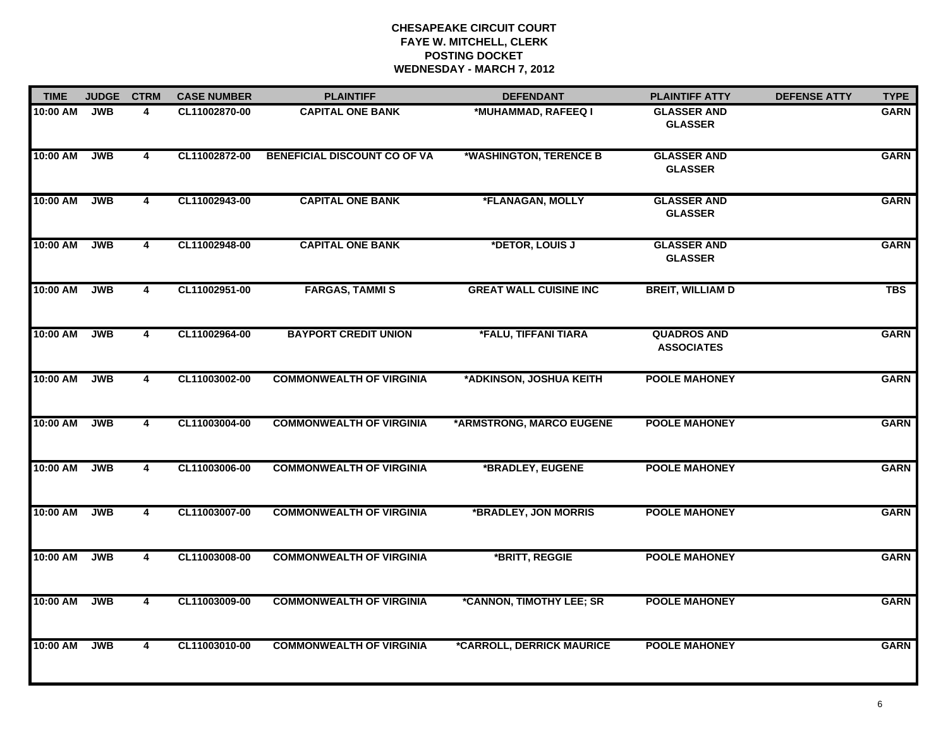| <b>TIME</b>  | <b>JUDGE</b> | <b>CTRM</b>             | <b>CASE NUMBER</b> | <b>PLAINTIFF</b>                    | <b>DEFENDANT</b>              | <b>PLAINTIFF ATTY</b>                   | <b>DEFENSE ATTY</b> | <b>TYPE</b> |
|--------------|--------------|-------------------------|--------------------|-------------------------------------|-------------------------------|-----------------------------------------|---------------------|-------------|
| 10:00 AM     | <b>JWB</b>   | 4                       | CL11002870-00      | <b>CAPITAL ONE BANK</b>             | *MUHAMMAD, RAFEEQ I           | <b>GLASSER AND</b><br><b>GLASSER</b>    |                     | <b>GARN</b> |
| 10:00 AM     | <b>JWB</b>   | 4                       | CL11002872-00      | <b>BENEFICIAL DISCOUNT CO OF VA</b> | *WASHINGTON, TERENCE B        | <b>GLASSER AND</b><br><b>GLASSER</b>    |                     | <b>GARN</b> |
| 10:00 AM     | <b>JWB</b>   | $\overline{\mathbf{4}}$ | CL11002943-00      | <b>CAPITAL ONE BANK</b>             | *FLANAGAN, MOLLY              | <b>GLASSER AND</b><br><b>GLASSER</b>    |                     | <b>GARN</b> |
| 10:00 AM     | <b>JWB</b>   | $\overline{\mathbf{4}}$ | CL11002948-00      | <b>CAPITAL ONE BANK</b>             | *DETOR, LOUIS J               | <b>GLASSER AND</b><br><b>GLASSER</b>    |                     | <b>GARN</b> |
| 10:00 AM     | <b>JWB</b>   | $\overline{4}$          | CL11002951-00      | <b>FARGAS, TAMMIS</b>               | <b>GREAT WALL CUISINE INC</b> | <b>BREIT, WILLIAM D</b>                 |                     | <b>TBS</b>  |
| 10:00 AM JWB |              | 4                       | CL11002964-00      | <b>BAYPORT CREDIT UNION</b>         | *FALU, TIFFANI TIARA          | <b>QUADROS AND</b><br><b>ASSOCIATES</b> |                     | <b>GARN</b> |
| 10:00 AM     | <b>JWB</b>   | $\overline{4}$          | CL11003002-00      | <b>COMMONWEALTH OF VIRGINIA</b>     | *ADKINSON, JOSHUA KEITH       | <b>POOLE MAHONEY</b>                    |                     | <b>GARN</b> |
| 10:00 AM     | <b>JWB</b>   | 4                       | CL11003004-00      | <b>COMMONWEALTH OF VIRGINIA</b>     | *ARMSTRONG, MARCO EUGENE      | <b>POOLE MAHONEY</b>                    |                     | <b>GARN</b> |
| 10:00 AM     | <b>JWB</b>   | 4                       | CL11003006-00      | <b>COMMONWEALTH OF VIRGINIA</b>     | *BRADLEY, EUGENE              | <b>POOLE MAHONEY</b>                    |                     | <b>GARN</b> |
| 10:00 AM     | <b>JWB</b>   | $\overline{4}$          | CL11003007-00      | <b>COMMONWEALTH OF VIRGINIA</b>     | *BRADLEY, JON MORRIS          | <b>POOLE MAHONEY</b>                    |                     | <b>GARN</b> |
| 10:00 AM     | <b>JWB</b>   | 4                       | CL11003008-00      | <b>COMMONWEALTH OF VIRGINIA</b>     | *BRITT, REGGIE                | <b>POOLE MAHONEY</b>                    |                     | <b>GARN</b> |
| 10:00 AM     | JWB          | $\overline{4}$          | CL11003009-00      | <b>COMMONWEALTH OF VIRGINIA</b>     | *CANNON, TIMOTHY LEE; SR      | <b>POOLE MAHONEY</b>                    |                     | <b>GARN</b> |
| 10:00 AM     | <b>JWB</b>   | 4                       | CL11003010-00      | <b>COMMONWEALTH OF VIRGINIA</b>     | *CARROLL, DERRICK MAURICE     | <b>POOLE MAHONEY</b>                    |                     | <b>GARN</b> |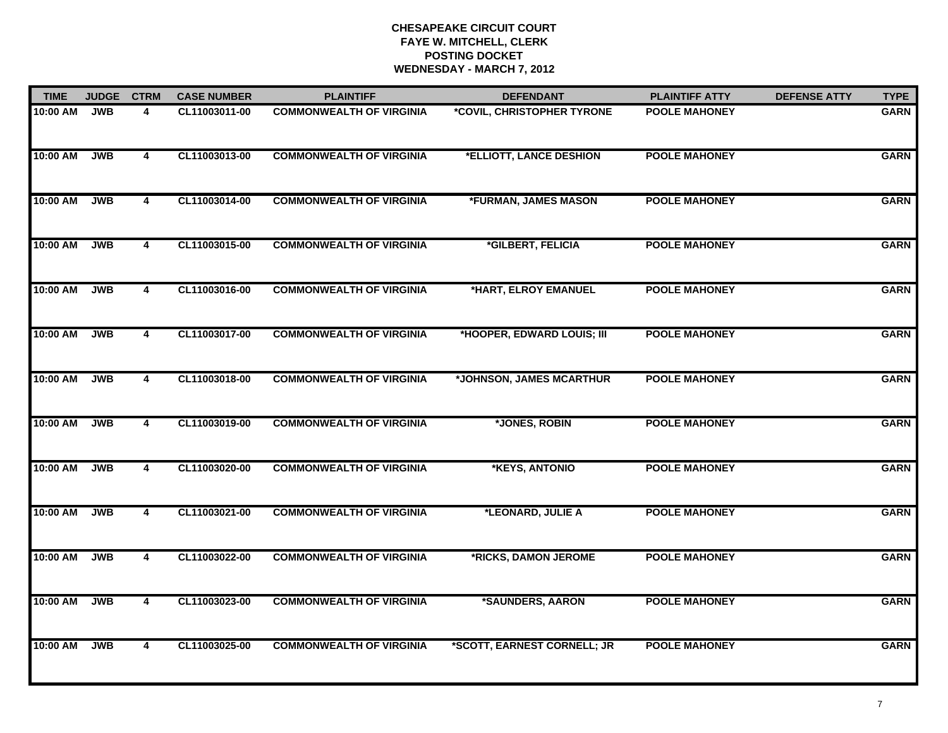| <b>TIME</b> | <b>JUDGE</b> | <b>CTRM</b>             | <b>CASE NUMBER</b> | <b>PLAINTIFF</b>                | <b>DEFENDANT</b>            | <b>PLAINTIFF ATTY</b> | <b>DEFENSE ATTY</b> | <b>TYPE</b> |
|-------------|--------------|-------------------------|--------------------|---------------------------------|-----------------------------|-----------------------|---------------------|-------------|
| 10:00 AM    | <b>JWB</b>   | 4                       | CL11003011-00      | <b>COMMONWEALTH OF VIRGINIA</b> | *COVIL, CHRISTOPHER TYRONE  | <b>POOLE MAHONEY</b>  |                     | <b>GARN</b> |
| 10:00 AM    | <b>JWB</b>   | $\overline{\mathbf{4}}$ | CL11003013-00      | <b>COMMONWEALTH OF VIRGINIA</b> | *ELLIOTT, LANCE DESHION     | <b>POOLE MAHONEY</b>  |                     | <b>GARN</b> |
| 10:00 AM    | <b>JWB</b>   | 4                       | CL11003014-00      | <b>COMMONWEALTH OF VIRGINIA</b> | *FURMAN, JAMES MASON        | <b>POOLE MAHONEY</b>  |                     | <b>GARN</b> |
| 10:00 AM    | <b>JWB</b>   | 4                       | CL11003015-00      | <b>COMMONWEALTH OF VIRGINIA</b> | *GILBERT, FELICIA           | <b>POOLE MAHONEY</b>  |                     | <b>GARN</b> |
| 10:00 AM    | <b>JWB</b>   | 4                       | CL11003016-00      | <b>COMMONWEALTH OF VIRGINIA</b> | *HART, ELROY EMANUEL        | <b>POOLE MAHONEY</b>  |                     | <b>GARN</b> |
| 10:00 AM    | <b>JWB</b>   | 4                       | CL11003017-00      | <b>COMMONWEALTH OF VIRGINIA</b> | *HOOPER, EDWARD LOUIS; III  | <b>POOLE MAHONEY</b>  |                     | <b>GARN</b> |
| 10:00 AM    | <b>JWB</b>   | $\overline{\mathbf{4}}$ | CL11003018-00      | <b>COMMONWEALTH OF VIRGINIA</b> | *JOHNSON, JAMES MCARTHUR    | <b>POOLE MAHONEY</b>  |                     | <b>GARN</b> |
| 10:00 AM    | <b>JWB</b>   | $\overline{\mathbf{4}}$ | CL11003019-00      | <b>COMMONWEALTH OF VIRGINIA</b> | *JONES, ROBIN               | <b>POOLE MAHONEY</b>  |                     | <b>GARN</b> |
| 10:00 AM    | <b>JWB</b>   | 4                       | CL11003020-00      | <b>COMMONWEALTH OF VIRGINIA</b> | *KEYS, ANTONIO              | <b>POOLE MAHONEY</b>  |                     | <b>GARN</b> |
| 10:00 AM    | <b>JWB</b>   | 4                       | CL11003021-00      | <b>COMMONWEALTH OF VIRGINIA</b> | *LEONARD, JULIE A           | <b>POOLE MAHONEY</b>  |                     | <b>GARN</b> |
| 10:00 AM    | <b>JWB</b>   | 4                       | CL11003022-00      | <b>COMMONWEALTH OF VIRGINIA</b> | *RICKS, DAMON JEROME        | <b>POOLE MAHONEY</b>  |                     | <b>GARN</b> |
| 10:00 AM    | <b>JWB</b>   | $\overline{4}$          | CL11003023-00      | <b>COMMONWEALTH OF VIRGINIA</b> | *SAUNDERS, AARON            | <b>POOLE MAHONEY</b>  |                     | <b>GARN</b> |
| 10:00 AM    | <b>JWB</b>   | $\overline{4}$          | CL11003025-00      | <b>COMMONWEALTH OF VIRGINIA</b> | *SCOTT, EARNEST CORNELL; JR | <b>POOLE MAHONEY</b>  |                     | <b>GARN</b> |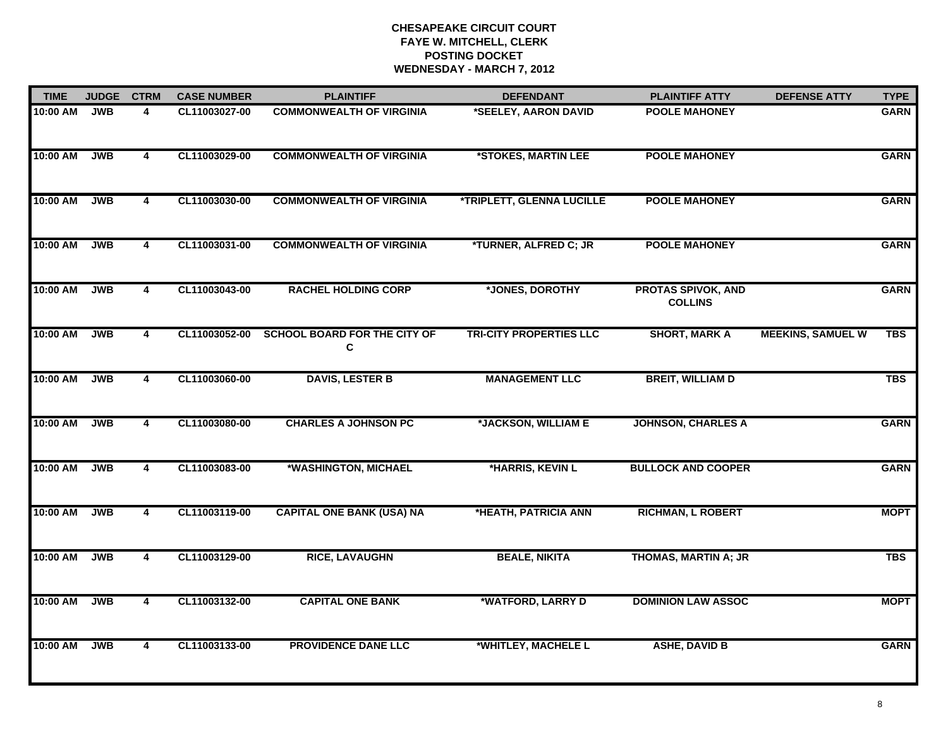| <b>TIME</b> | <b>JUDGE</b> | <b>CTRM</b>             | <b>CASE NUMBER</b> | <b>PLAINTIFF</b>                                | <b>DEFENDANT</b>               | <b>PLAINTIFF ATTY</b>                       | <b>DEFENSE ATTY</b>      | <b>TYPE</b> |
|-------------|--------------|-------------------------|--------------------|-------------------------------------------------|--------------------------------|---------------------------------------------|--------------------------|-------------|
| 10:00 AM    | <b>JWB</b>   | 4                       | CL11003027-00      | <b>COMMONWEALTH OF VIRGINIA</b>                 | *SEELEY, AARON DAVID           | <b>POOLE MAHONEY</b>                        |                          | <b>GARN</b> |
| 10:00 AM    | <b>JWB</b>   | $\overline{\mathbf{4}}$ | CL11003029-00      | <b>COMMONWEALTH OF VIRGINIA</b>                 | *STOKES, MARTIN LEE            | <b>POOLE MAHONEY</b>                        |                          | <b>GARN</b> |
| 10:00 AM    | <b>JWB</b>   | 4                       | CL11003030-00      | <b>COMMONWEALTH OF VIRGINIA</b>                 | *TRIPLETT, GLENNA LUCILLE      | <b>POOLE MAHONEY</b>                        |                          | <b>GARN</b> |
| 10:00 AM    | <b>JWB</b>   | 4                       | CL11003031-00      | <b>COMMONWEALTH OF VIRGINIA</b>                 | *TURNER, ALFRED C; JR          | <b>POOLE MAHONEY</b>                        |                          | <b>GARN</b> |
| 10:00 AM    | <b>JWB</b>   | $\overline{\mathbf{4}}$ | CL11003043-00      | <b>RACHEL HOLDING CORP</b>                      | *JONES, DOROTHY                | <b>PROTAS SPIVOK, AND</b><br><b>COLLINS</b> |                          | <b>GARN</b> |
| 10:00 AM    | <b>JWB</b>   | 4                       |                    | CL11003052-00 SCHOOL BOARD FOR THE CITY OF<br>C | <b>TRI-CITY PROPERTIES LLC</b> | <b>SHORT, MARK A</b>                        | <b>MEEKINS, SAMUEL W</b> | TBS         |
| 10:00 AM    | <b>JWB</b>   | $\overline{4}$          | CL11003060-00      | <b>DAVIS, LESTER B</b>                          | <b>MANAGEMENT LLC</b>          | <b>BREIT, WILLIAM D</b>                     |                          | <b>TBS</b>  |
| 10:00 AM    | <b>JWB</b>   | $\overline{\mathbf{4}}$ | CL11003080-00      | <b>CHARLES A JOHNSON PC</b>                     | *JACKSON, WILLIAM E            | <b>JOHNSON, CHARLES A</b>                   |                          | <b>GARN</b> |
| 10:00 AM    | <b>JWB</b>   | 4                       | CL11003083-00      | *WASHINGTON, MICHAEL                            | *HARRIS, KEVIN L               | <b>BULLOCK AND COOPER</b>                   |                          | <b>GARN</b> |
| 10:00 AM    | <b>JWB</b>   | 4                       | CL11003119-00      | <b>CAPITAL ONE BANK (USA) NA</b>                | *HEATH, PATRICIA ANN           | <b>RICHMAN, L ROBERT</b>                    |                          | <b>MOPT</b> |
| 10:00 AM    | <b>JWB</b>   | 4                       | CL11003129-00      | <b>RICE, LAVAUGHN</b>                           | <b>BEALE, NIKITA</b>           | <b>THOMAS, MARTIN A; JR</b>                 |                          | <b>TBS</b>  |
| 10:00 AM    | <b>JWB</b>   | $\overline{4}$          | CL11003132-00      | <b>CAPITAL ONE BANK</b>                         | *WATFORD, LARRY D              | <b>DOMINION LAW ASSOC</b>                   |                          | <b>MOPT</b> |
| 10:00 AM    | <b>JWB</b>   | 4                       | CL11003133-00      | <b>PROVIDENCE DANE LLC</b>                      | *WHITLEY, MACHELE L            | <b>ASHE, DAVID B</b>                        |                          | <b>GARN</b> |